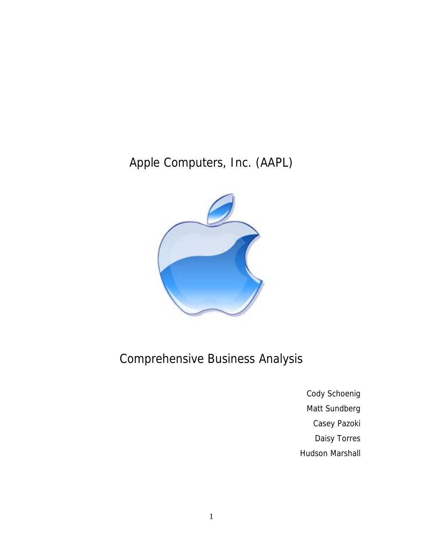# Apple Computers, Inc. (AAPL)



# Comprehensive Business Analysis

Cody Schoenig Matt Sundberg Casey Pazoki Daisy Torres Hudson Marshall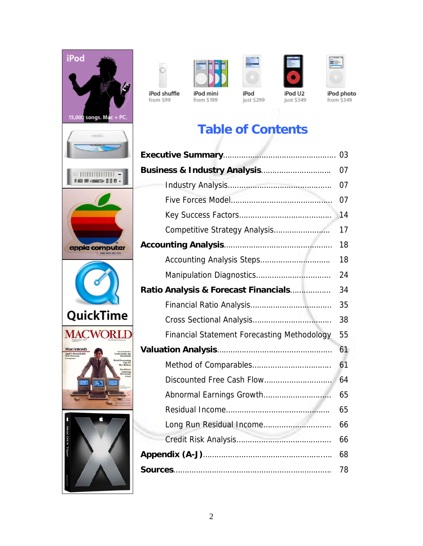



from \$99



from \$199



just \$299



just \$349



**iPod photo**<br>from \$349

# **Table of Contents**

|                                                    | 07 |
|----------------------------------------------------|----|
|                                                    | 07 |
|                                                    | 07 |
|                                                    | 14 |
|                                                    | 17 |
|                                                    | 18 |
|                                                    | 18 |
|                                                    | 24 |
| Ratio Analysis & Forecast Financials               | 34 |
|                                                    | 35 |
|                                                    | 38 |
| <b>Financial Statement Forecasting Methodology</b> | 55 |
|                                                    | 61 |
|                                                    | 61 |
| Discounted Free Cash Flow                          | 64 |
| Abnormal Earnings Growth                           | 65 |
|                                                    | 65 |
|                                                    | 66 |
|                                                    | 66 |
|                                                    | 68 |
|                                                    | 78 |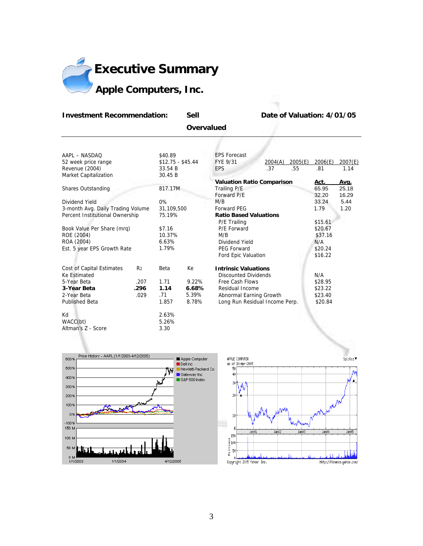

#### **Investment Recommendation:** Sell Date of Valuation: 4/01/05

 **Overvalued** 

| AAPL - NASDAO                     |                | \$40.89           |       | <b>EPS Forecast</b>               |         |         |         |         |
|-----------------------------------|----------------|-------------------|-------|-----------------------------------|---------|---------|---------|---------|
| 52 week price range               |                | $$12.75 - $45.44$ |       | FYE 9/31                          | 2004(A) | 2005(E) | 2006(E) | 2007(E) |
| Revenue (2004)                    |                | 33.54 B           |       | <b>EPS</b>                        | .37     | .55     | .81     | 1.14    |
| Market Capitalization             |                | 30.45 B           |       |                                   |         |         |         |         |
|                                   |                |                   |       | <b>Valuation Ratio Comparison</b> |         |         | Act.    | Avg.    |
| Shares Outstanding                |                | 817.17M           |       | Trailing P/E                      |         |         | 65.95   | 25.18   |
|                                   |                |                   |       | Forward P/E                       |         |         | 32.20   | 16.29   |
| Dividend Yield                    |                | $0\%$             |       | M/B                               |         |         | 33.24   | 5.44    |
| 3-month Avg. Daily Trading Volume |                | 31,109,500        |       | <b>Forward PEG</b>                |         |         | 1.79    | 1.20    |
| Percent Institutional Ownership   |                | 75.19%            |       | <b>Ratio Based Valuations</b>     |         |         |         |         |
|                                   |                |                   |       | P/E Trailing                      |         |         | \$15.61 |         |
| Book Value Per Share (mrq)        |                | \$7.16            |       | P/E Forward                       |         |         | \$20.67 |         |
| ROE (2004)                        |                | 10.37%            |       | M/B                               |         |         | \$37.16 |         |
| ROA (2004)                        |                | 6.63%             |       | Dividend Yield                    |         |         | N/A     |         |
| Est. 5 year EPS Growth Rate       |                | 1.79%             |       | <b>PEG Forward</b>                |         |         | \$20.24 |         |
|                                   |                |                   |       | Ford Epic Valuation               |         |         | \$16.22 |         |
| Cost of Capital Estimates         | R <sub>2</sub> | Beta              | Кe    | <b>Intrinsic Valuations</b>       |         |         |         |         |
| <b>Ke Estimated</b>               |                |                   |       | <b>Discounted Dividends</b>       |         |         | N/A     |         |
| 5-Year Beta                       | .207           | 1.71              | 9.22% | Free Cash Flows                   |         |         | \$28.95 |         |
| 3-Year Beta                       | .296           | 1.14              | 6.68% | Residual Income                   |         |         | \$23.22 |         |
| 2-Year Beta                       | .029           | .71               | 5.39% | Abnormal Earning Growth           |         |         | \$23.40 |         |
| <b>Published Beta</b>             |                | 1.857             | 8.78% | Long Run Residual Income Perp.    |         |         | \$20.84 |         |
| Kd                                |                | 2.63%             |       |                                   |         |         |         |         |
| WACC(bt)                          |                | 5.26%             |       |                                   |         |         |         |         |
| Altman's Z - Score                |                | 3.30              |       |                                   |         |         |         |         |



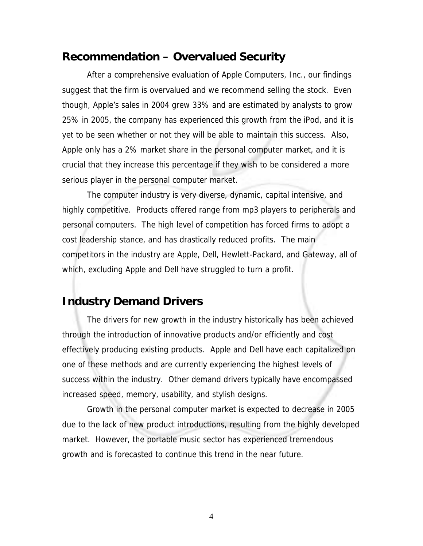### **Recommendation – Overvalued Security**

After a comprehensive evaluation of Apple Computers, Inc., our findings suggest that the firm is overvalued and we recommend selling the stock. Even though, Apple's sales in 2004 grew 33% and are estimated by analysts to grow 25% in 2005, the company has experienced this growth from the iPod, and it is yet to be seen whether or not they will be able to maintain this success. Also, Apple only has a 2% market share in the personal computer market, and it is crucial that they increase this percentage if they wish to be considered a more serious player in the personal computer market.

The computer industry is very diverse, dynamic, capital intensive, and highly competitive. Products offered range from mp3 players to peripherals and personal computers. The high level of competition has forced firms to adopt a cost leadership stance, and has drastically reduced profits. The main competitors in the industry are Apple, Dell, Hewlett-Packard, and Gateway, all of which, excluding Apple and Dell have struggled to turn a profit.

### **Industry Demand Drivers**

The drivers for new growth in the industry historically has been achieved through the introduction of innovative products and/or efficiently and cost effectively producing existing products. Apple and Dell have each capitalized on one of these methods and are currently experiencing the highest levels of success within the industry. Other demand drivers typically have encompassed increased speed, memory, usability, and stylish designs.

Growth in the personal computer market is expected to decrease in 2005 due to the lack of new product introductions, resulting from the highly developed market. However, the portable music sector has experienced tremendous growth and is forecasted to continue this trend in the near future.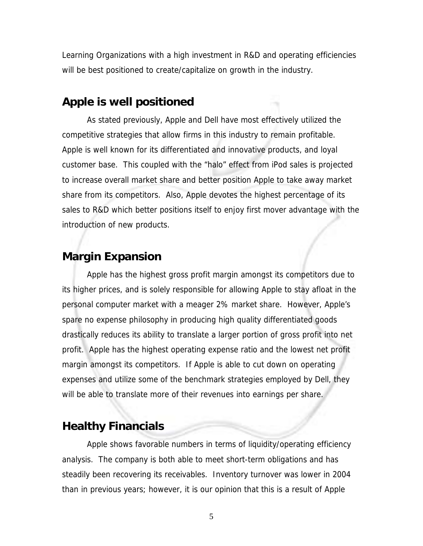Learning Organizations with a high investment in R&D and operating efficiencies will be best positioned to create/capitalize on growth in the industry.

### **Apple is well positioned**

As stated previously, Apple and Dell have most effectively utilized the competitive strategies that allow firms in this industry to remain profitable. Apple is well known for its differentiated and innovative products, and loyal customer base. This coupled with the "halo" effect from iPod sales is projected to increase overall market share and better position Apple to take away market share from its competitors. Also, Apple devotes the highest percentage of its sales to R&D which better positions itself to enjoy first mover advantage with the introduction of new products.

### **Margin Expansion**

Apple has the highest gross profit margin amongst its competitors due to its higher prices, and is solely responsible for allowing Apple to stay afloat in the personal computer market with a meager 2% market share. However, Apple's spare no expense philosophy in producing high quality differentiated goods drastically reduces its ability to translate a larger portion of gross profit into net profit. Apple has the highest operating expense ratio and the lowest net profit margin amongst its competitors. If Apple is able to cut down on operating expenses and utilize some of the benchmark strategies employed by Dell, they will be able to translate more of their revenues into earnings per share.

## **Healthy Financials**

Apple shows favorable numbers in terms of liquidity/operating efficiency analysis. The company is both able to meet short-term obligations and has steadily been recovering its receivables. Inventory turnover was lower in 2004 than in previous years; however, it is our opinion that this is a result of Apple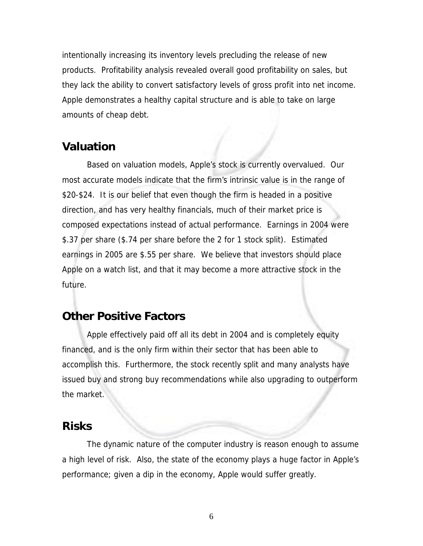intentionally increasing its inventory levels precluding the release of new products. Profitability analysis revealed overall good profitability on sales, but they lack the ability to convert satisfactory levels of gross profit into net income. Apple demonstrates a healthy capital structure and is able to take on large amounts of cheap debt.

### **Valuation**

Based on valuation models, Apple's stock is currently overvalued. Our most accurate models indicate that the firm's intrinsic value is in the range of \$20-\$24. It is our belief that even though the firm is headed in a positive direction, and has very healthy financials, much of their market price is composed expectations instead of actual performance. Earnings in 2004 were \$.37 per share (\$.74 per share before the 2 for 1 stock split). Estimated earnings in 2005 are \$.55 per share. We believe that investors should place Apple on a watch list, and that it may become a more attractive stock in the future.

### **Other Positive Factors**

Apple effectively paid off all its debt in 2004 and is completely equity financed, and is the only firm within their sector that has been able to accomplish this. Furthermore, the stock recently split and many analysts have issued buy and strong buy recommendations while also upgrading to outperform the market.

### **Risks**

The dynamic nature of the computer industry is reason enough to assume a high level of risk. Also, the state of the economy plays a huge factor in Apple's performance; given a dip in the economy, Apple would suffer greatly.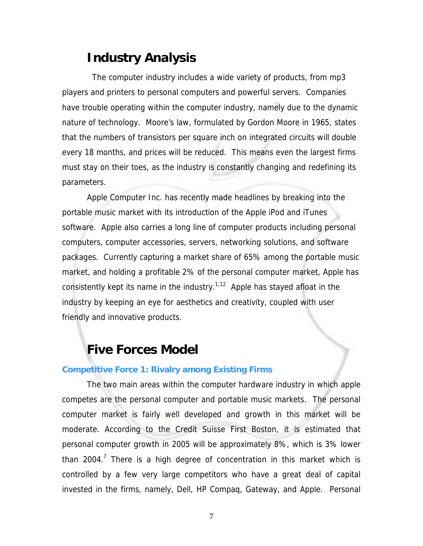## **Industry Analysis**

 The computer industry includes a wide variety of products, from mp3 players and printers to personal computers and powerful servers. Companies have trouble operating within the computer industry, namely due to the dynamic nature of technology. Moore's law, formulated by Gordon Moore in 1965, states that the numbers of transistors per square inch on integrated circuits will double every 18 months, and prices will be reduced. This means even the largest firms must stay on their toes, as the industry is constantly changing and redefining its parameters.

Apple Computer Inc. has recently made headlines by breaking into the portable music market with its introduction of the Apple iPod and iTunes software. Apple also carries a long line of computer products including personal computers, computer accessories, servers, networking solutions, and software packages. Currently capturing a market share of 65% among the portable music market, and holding a profitable 2% of the personal computer market, Apple has consistently kept its name in the industry.<sup>1,12</sup> Apple has stayed afloat in the industry by keeping an eye for aesthetics and creativity, coupled with user friendly and innovative products.

## **Five Forces Model**

#### **Competitive Force 1: Rivalry among Existing Firms**

The two main areas within the computer hardware industry in which apple competes are the personal computer and portable music markets. The personal computer market is fairly well developed and growth in this market will be moderate. According to the Credit Suisse First Boston, it is estimated that personal computer growth in 2005 will be approximately 8%, which is 3% lower than 2004.<sup>7</sup> There is a high degree of concentration in this market which is controlled by a few very large competitors who have a great deal of capital invested in the firms, namely, Dell, HP Compaq, Gateway, and Apple. Personal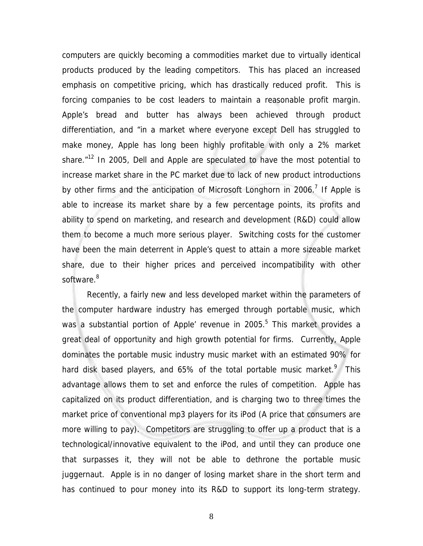computers are quickly becoming a commodities market due to virtually identical products produced by the leading competitors. This has placed an increased emphasis on competitive pricing, which has drastically reduced profit. This is forcing companies to be cost leaders to maintain a reasonable profit margin. Apple's bread and butter has always been achieved through product differentiation, and "in a market where everyone except Dell has struggled to make money, Apple has long been highly profitable with only a 2% market share.<sup>"12</sup> In 2005, Dell and Apple are speculated to have the most potential to increase market share in the PC market due to lack of new product introductions by other firms and the anticipation of Microsoft Longhorn in 2006.<sup>7</sup> If Apple is able to increase its market share by a few percentage points, its profits and ability to spend on marketing, and research and development (R&D) could allow them to become a much more serious player. Switching costs for the customer have been the main deterrent in Apple's quest to attain a more sizeable market share, due to their higher prices and perceived incompatibility with other software.<sup>8</sup>

 Recently, a fairly new and less developed market within the parameters of the computer hardware industry has emerged through portable music, which was a substantial portion of Apple' revenue in 2005.<sup>5</sup> This market provides a great deal of opportunity and high growth potential for firms. Currently, Apple dominates the portable music industry music market with an estimated 90% for hard disk based players, and 65% of the total portable music market.<sup>9</sup> This advantage allows them to set and enforce the rules of competition. Apple has capitalized on its product differentiation, and is charging two to three times the market price of conventional mp3 players for its iPod (A price that consumers are more willing to pay). Competitors are struggling to offer up a product that is a technological/innovative equivalent to the iPod, and until they can produce one that surpasses it, they will not be able to dethrone the portable music juggernaut. Apple is in no danger of losing market share in the short term and has continued to pour money into its R&D to support its long-term strategy.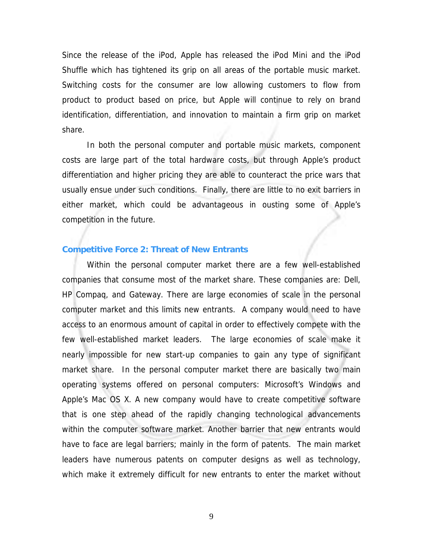Since the release of the iPod, Apple has released the iPod Mini and the iPod Shuffle which has tightened its grip on all areas of the portable music market. Switching costs for the consumer are low allowing customers to flow from product to product based on price, but Apple will continue to rely on brand identification, differentiation, and innovation to maintain a firm grip on market share.

In both the personal computer and portable music markets, component costs are large part of the total hardware costs, but through Apple's product differentiation and higher pricing they are able to counteract the price wars that usually ensue under such conditions. Finally, there are little to no exit barriers in either market, which could be advantageous in ousting some of Apple's competition in the future.

#### **Competitive Force 2: Threat of New Entrants**

Within the personal computer market there are a few well-established companies that consume most of the market share. These companies are: Dell, HP Compaq, and Gateway. There are large economies of scale in the personal computer market and this limits new entrants. A company would need to have access to an enormous amount of capital in order to effectively compete with the few well-established market leaders. The large economies of scale make it nearly impossible for new start-up companies to gain any type of significant market share. In the personal computer market there are basically two main operating systems offered on personal computers: Microsoft's Windows and Apple's Mac OS X. A new company would have to create competitive software that is one step ahead of the rapidly changing technological advancements within the computer software market. Another barrier that new entrants would have to face are legal barriers; mainly in the form of patents. The main market leaders have numerous patents on computer designs as well as technology, which make it extremely difficult for new entrants to enter the market without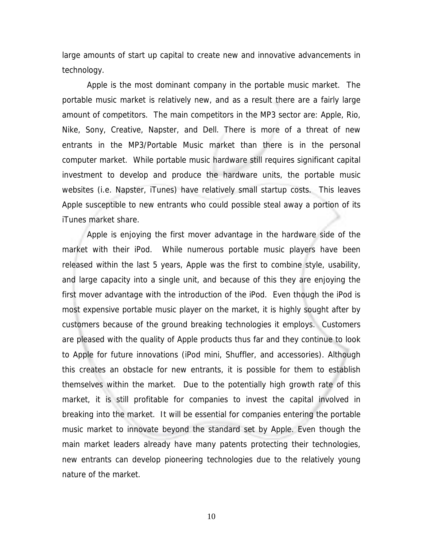large amounts of start up capital to create new and innovative advancements in technology.

Apple is the most dominant company in the portable music market. The portable music market is relatively new, and as a result there are a fairly large amount of competitors. The main competitors in the MP3 sector are: Apple, Rio, Nike, Sony, Creative, Napster, and Dell. There is more of a threat of new entrants in the MP3/Portable Music market than there is in the personal computer market. While portable music hardware still requires significant capital investment to develop and produce the hardware units, the portable music websites (i.e. Napster, iTunes) have relatively small startup costs. This leaves Apple susceptible to new entrants who could possible steal away a portion of its iTunes market share.

Apple is enjoying the first mover advantage in the hardware side of the market with their iPod. While numerous portable music players have been released within the last 5 years, Apple was the first to combine style, usability, and large capacity into a single unit, and because of this they are enjoying the first mover advantage with the introduction of the iPod. Even though the iPod is most expensive portable music player on the market, it is highly sought after by customers because of the ground breaking technologies it employs. Customers are pleased with the quality of Apple products thus far and they continue to look to Apple for future innovations (iPod mini, Shuffler, and accessories). Although this creates an obstacle for new entrants, it is possible for them to establish themselves within the market. Due to the potentially high growth rate of this market, it is still profitable for companies to invest the capital involved in breaking into the market. It will be essential for companies entering the portable music market to innovate beyond the standard set by Apple. Even though the main market leaders already have many patents protecting their technologies, new entrants can develop pioneering technologies due to the relatively young nature of the market.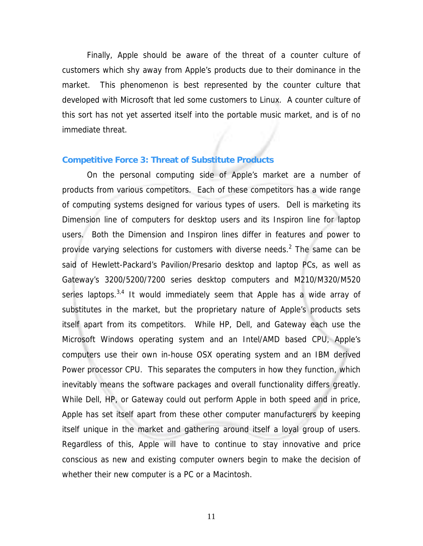Finally, Apple should be aware of the threat of a counter culture of customers which shy away from Apple's products due to their dominance in the market. This phenomenon is best represented by the counter culture that developed with Microsoft that led some customers to Linux. A counter culture of this sort has not yet asserted itself into the portable music market, and is of no immediate threat.

#### **Competitive Force 3: Threat of Substitute Products**

On the personal computing side of Apple's market are a number of products from various competitors. Each of these competitors has a wide range of computing systems designed for various types of users. Dell is marketing its Dimension line of computers for desktop users and its Inspiron line for laptop users. Both the Dimension and Inspiron lines differ in features and power to provide varying selections for customers with diverse needs.<sup>2</sup> The same can be said of Hewlett-Packard's Pavilion/Presario desktop and laptop PCs, as well as Gateway's 3200/5200/7200 series desktop computers and M210/M320/M520 series laptops. $3,4$  It would immediately seem that Apple has a wide array of substitutes in the market, but the proprietary nature of Apple's products sets itself apart from its competitors. While HP, Dell, and Gateway each use the Microsoft Windows operating system and an Intel/AMD based CPU, Apple's computers use their own in-house OSX operating system and an IBM derived Power processor CPU. This separates the computers in how they function, which inevitably means the software packages and overall functionality differs greatly. While Dell, HP, or Gateway could out perform Apple in both speed and in price, Apple has set itself apart from these other computer manufacturers by keeping itself unique in the market and gathering around itself a loyal group of users. Regardless of this, Apple will have to continue to stay innovative and price conscious as new and existing computer owners begin to make the decision of whether their new computer is a PC or a Macintosh.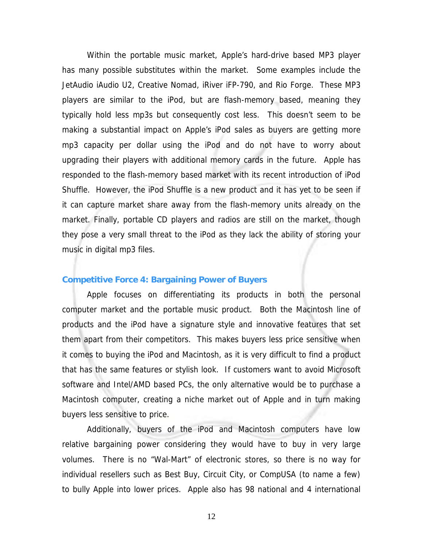Within the portable music market, Apple's hard-drive based MP3 player has many possible substitutes within the market. Some examples include the JetAudio iAudio U2, Creative Nomad, iRiver iFP-790, and Rio Forge. These MP3 players are similar to the iPod, but are flash-memory based, meaning they typically hold less mp3s but consequently cost less. This doesn't seem to be making a substantial impact on Apple's iPod sales as buyers are getting more mp3 capacity per dollar using the iPod and do not have to worry about upgrading their players with additional memory cards in the future. Apple has responded to the flash-memory based market with its recent introduction of iPod Shuffle. However, the iPod Shuffle is a new product and it has yet to be seen if it can capture market share away from the flash-memory units already on the market. Finally, portable CD players and radios are still on the market, though they pose a very small threat to the iPod as they lack the ability of storing your music in digital mp3 files.

#### **Competitive Force 4: Bargaining Power of Buyers**

Apple focuses on differentiating its products in both the personal computer market and the portable music product. Both the Macintosh line of products and the iPod have a signature style and innovative features that set them apart from their competitors. This makes buyers less price sensitive when it comes to buying the iPod and Macintosh, as it is very difficult to find a product that has the same features or stylish look. If customers want to avoid Microsoft software and Intel/AMD based PCs, the only alternative would be to purchase a Macintosh computer, creating a niche market out of Apple and in turn making buyers less sensitive to price.

Additionally, buyers of the iPod and Macintosh computers have low relative bargaining power considering they would have to buy in very large volumes. There is no "Wal-Mart" of electronic stores, so there is no way for individual resellers such as Best Buy, Circuit City, or CompUSA (to name a few) to bully Apple into lower prices. Apple also has 98 national and 4 international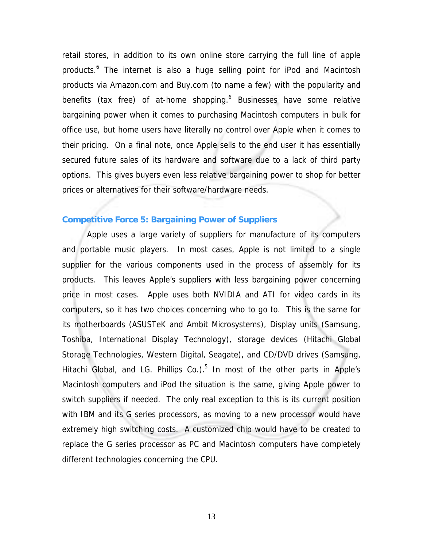retail stores, in addition to its own online store carrying the full line of apple products.<sup>6</sup> The internet is also a huge selling point for iPod and Macintosh products via Amazon.com and Buy.com (to name a few) with the popularity and benefits (tax free) of at-home shopping.<sup>6</sup> Businesses have some relative bargaining power when it comes to purchasing Macintosh computers in bulk for office use, but home users have literally no control over Apple when it comes to their pricing. On a final note, once Apple sells to the end user it has essentially secured future sales of its hardware and software due to a lack of third party options. This gives buyers even less relative bargaining power to shop for better prices or alternatives for their software/hardware needs.

#### **Competitive Force 5: Bargaining Power of Suppliers**

Apple uses a large variety of suppliers for manufacture of its computers and portable music players. In most cases, Apple is not limited to a single supplier for the various components used in the process of assembly for its products. This leaves Apple's suppliers with less bargaining power concerning price in most cases. Apple uses both NVIDIA and ATI for video cards in its computers, so it has two choices concerning who to go to. This is the same for its motherboards (ASUSTeK and Ambit Microsystems), Display units (Samsung, Toshiba, International Display Technology), storage devices (Hitachi Global Storage Technologies, Western Digital, Seagate), and CD/DVD drives (Samsung, Hitachi Global, and LG. Phillips Co.). $5$  In most of the other parts in Apple's Macintosh computers and iPod the situation is the same, giving Apple power to switch suppliers if needed. The only real exception to this is its current position with IBM and its G series processors, as moving to a new processor would have extremely high switching costs. A customized chip would have to be created to replace the G series processor as PC and Macintosh computers have completely different technologies concerning the CPU.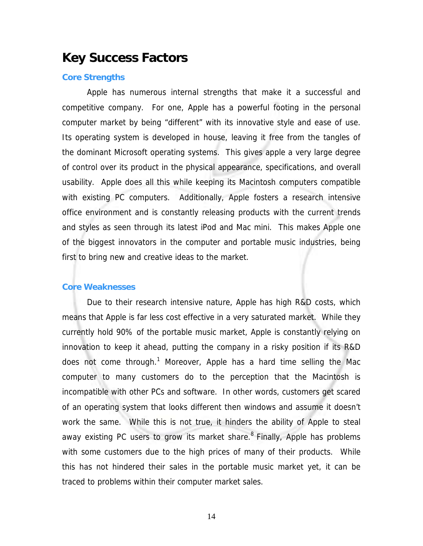## **Key Success Factors**

#### **Core Strengths**

Apple has numerous internal strengths that make it a successful and competitive company. For one, Apple has a powerful footing in the personal computer market by being "different" with its innovative style and ease of use. Its operating system is developed in house, leaving it free from the tangles of the dominant Microsoft operating systems. This gives apple a very large degree of control over its product in the physical appearance, specifications, and overall usability. Apple does all this while keeping its Macintosh computers compatible with existing PC computers. Additionally, Apple fosters a research intensive office environment and is constantly releasing products with the current trends and styles as seen through its latest iPod and Mac mini. This makes Apple one of the biggest innovators in the computer and portable music industries, being first to bring new and creative ideas to the market.

#### **Core Weaknesses**

Due to their research intensive nature, Apple has high R&D costs, which means that Apple is far less cost effective in a very saturated market. While they currently hold 90% of the portable music market, Apple is constantly relying on innovation to keep it ahead, putting the company in a risky position if its R&D does not come through.<sup>1</sup> Moreover, Apple has a hard time selling the Mac computer to many customers do to the perception that the Macintosh is incompatible with other PCs and software. In other words, customers get scared of an operating system that looks different then windows and assume it doesn't work the same. While this is not true, it hinders the ability of Apple to steal away existing PC users to grow its market share. $8$  Finally, Apple has problems with some customers due to the high prices of many of their products. While this has not hindered their sales in the portable music market yet, it can be traced to problems within their computer market sales.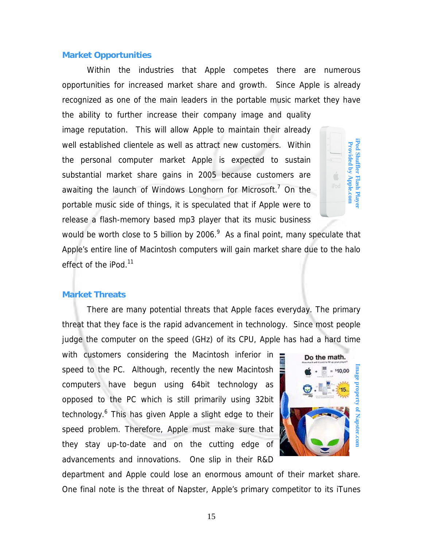#### **Market Opportunities**

Within the industries that Apple competes there are numerous opportunities for increased market share and growth. Since Apple is already recognized as one of the main leaders in the portable music market they have

the ability to further increase their company image and quality image reputation. This will allow Apple to maintain their already well established clientele as well as attract new customers. Within the personal computer market Apple is expected to sustain substantial market share gains in 2005 because customers are awaiting the launch of Windows Longhorn for Microsoft.<sup>7</sup> On the portable music side of things, it is speculated that if Apple were to release a flash-memory based mp3 player that its music business

would be worth close to 5 billion by 2006. $^9$  As a final point, many speculate that Apple's entire line of Macintosh computers will gain market share due to the halo effect of the iPod.<sup>11</sup>

#### **Market Threats**

There are many potential threats that Apple faces everyday. The primary threat that they face is the rapid advancement in technology. Since most people judge the computer on the speed (GHz) of its CPU, Apple has had a hard time

with customers considering the Macintosh inferior in speed to the PC. Although, recently the new Macintosh computers have begun using 64bit technology as opposed to the PC which is still primarily using 32bit technology.<sup>6</sup> This has given Apple a slight edge to their speed problem. Therefore, Apple must make sure that they stay up-to-date and on the cutting edge of advancements and innovations. One slip in their R&D Well established clienticle as well as attract new customers. Within<br>the personal computer market share gains in 2005 because customers are<br>availing the launch of Windows Longhorn for Microsoft.<sup>7</sup> On the<br>portable music si



department and Apple could lose an enormous amount of their market share.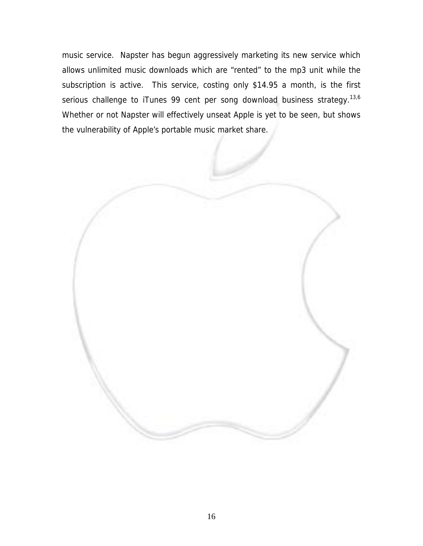music service. Napster has begun aggressively marketing its new service which allows unlimited music downloads which are "rented" to the mp3 unit while the subscription is active. This service, costing only \$14.95 a month, is the first serious challenge to iTunes 99 cent per song download business strategy.<sup>13,6</sup> Whether or not Napster will effectively unseat Apple is yet to be seen, but shows the vulnerability of Apple's portable music market share.

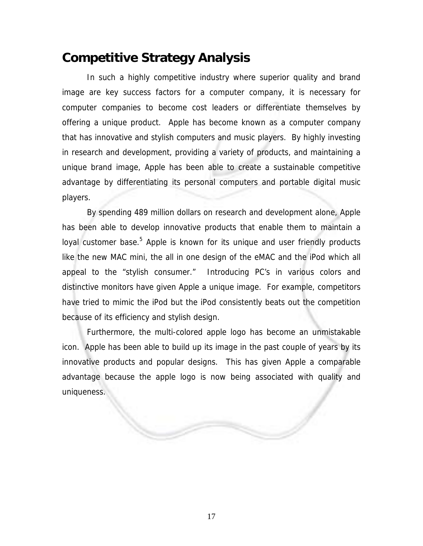## **Competitive Strategy Analysis**

In such a highly competitive industry where superior quality and brand image are key success factors for a computer company, it is necessary for computer companies to become cost leaders or differentiate themselves by offering a unique product. Apple has become known as a computer company that has innovative and stylish computers and music players. By highly investing in research and development, providing a variety of products, and maintaining a unique brand image, Apple has been able to create a sustainable competitive advantage by differentiating its personal computers and portable digital music players.

By spending 489 million dollars on research and development alone, Apple has been able to develop innovative products that enable them to maintain a loyal customer base.<sup>5</sup> Apple is known for its unique and user friendly products like the new MAC mini, the all in one design of the eMAC and the iPod which all appeal to the "stylish consumer." Introducing PC's in various colors and distinctive monitors have given Apple a unique image. For example, competitors have tried to mimic the iPod but the iPod consistently beats out the competition because of its efficiency and stylish design.

Furthermore, the multi-colored apple logo has become an unmistakable icon. Apple has been able to build up its image in the past couple of years by its innovative products and popular designs. This has given Apple a comparable advantage because the apple logo is now being associated with quality and uniqueness.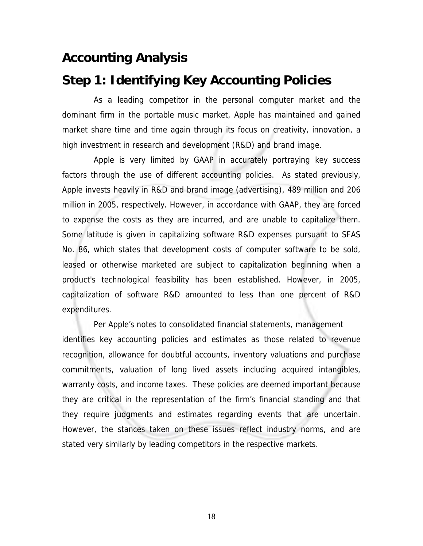## **Accounting Analysis**

## **Step 1: Identifying Key Accounting Policies**

 As a leading competitor in the personal computer market and the dominant firm in the portable music market, Apple has maintained and gained market share time and time again through its focus on creativity, innovation, a high investment in research and development (R&D) and brand image.

 Apple is very limited by GAAP in accurately portraying key success factors through the use of different accounting policies. As stated previously, Apple invests heavily in R&D and brand image (advertising), 489 million and 206 million in 2005, respectively. However, in accordance with GAAP, they are forced to expense the costs as they are incurred, and are unable to capitalize them. Some latitude is given in capitalizing software R&D expenses pursuant to SFAS No. 86, which states that development costs of computer software to be sold, leased or otherwise marketed are subject to capitalization beginning when a product's technological feasibility has been established. However, in 2005, capitalization of software R&D amounted to less than one percent of R&D expenditures.

 Per Apple's notes to consolidated financial statements, management identifies key accounting policies and estimates as those related to revenue recognition, allowance for doubtful accounts, inventory valuations and purchase commitments, valuation of long lived assets including acquired intangibles, warranty costs, and income taxes. These policies are deemed important because they are critical in the representation of the firm's financial standing and that they require judgments and estimates regarding events that are uncertain. However, the stances taken on these issues reflect industry norms, and are stated very similarly by leading competitors in the respective markets.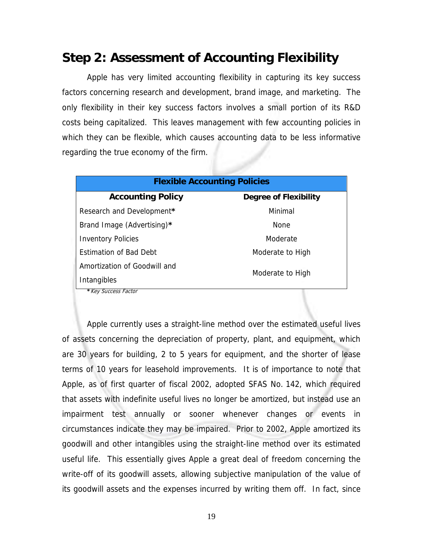## **Step 2: Assessment of Accounting Flexibility**

 Apple has very limited accounting flexibility in capturing its key success factors concerning research and development, brand image, and marketing. The only flexibility in their key success factors involves a small portion of its R&D costs being capitalized. This leaves management with few accounting policies in which they can be flexible, which causes accounting data to be less informative regarding the true economy of the firm.

| <b>Flexible Accounting Policies</b>                      |                  |  |  |  |  |  |  |
|----------------------------------------------------------|------------------|--|--|--|--|--|--|
| <b>Accounting Policy</b><br><b>Degree of Flexibility</b> |                  |  |  |  |  |  |  |
| Research and Development*                                | Minimal          |  |  |  |  |  |  |
| Brand Image (Advertising)*                               | <b>None</b>      |  |  |  |  |  |  |
| <b>Inventory Policies</b>                                | Moderate         |  |  |  |  |  |  |
| <b>Fstimation of Bad Debt</b>                            | Moderate to High |  |  |  |  |  |  |
| Amortization of Goodwill and                             | Moderate to High |  |  |  |  |  |  |
| Intangibles                                              |                  |  |  |  |  |  |  |
| * Key Success Factor                                     |                  |  |  |  |  |  |  |

 Apple currently uses a straight-line method over the estimated useful lives of assets concerning the depreciation of property, plant, and equipment, which are 30 years for building, 2 to 5 years for equipment, and the shorter of lease terms of 10 years for leasehold improvements. It is of importance to note that Apple, as of first quarter of fiscal 2002, adopted SFAS No. 142, which required that assets with indefinite useful lives no longer be amortized, but instead use an impairment test annually or sooner whenever changes or events in circumstances indicate they may be impaired. Prior to 2002, Apple amortized its goodwill and other intangibles using the straight-line method over its estimated useful life. This essentially gives Apple a great deal of freedom concerning the write-off of its goodwill assets, allowing subjective manipulation of the value of its goodwill assets and the expenses incurred by writing them off. In fact, since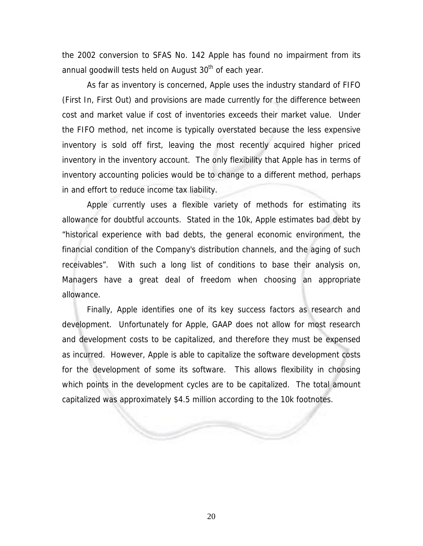the 2002 conversion to SFAS No. 142 Apple has found no impairment from its annual goodwill tests held on August  $30<sup>th</sup>$  of each year.

 As far as inventory is concerned, Apple uses the industry standard of FIFO (First In, First Out) and provisions are made currently for the difference between cost and market value if cost of inventories exceeds their market value. Under the FIFO method, net income is typically overstated because the less expensive inventory is sold off first, leaving the most recently acquired higher priced inventory in the inventory account. The only flexibility that Apple has in terms of inventory accounting policies would be to change to a different method, perhaps in and effort to reduce income tax liability.

 Apple currently uses a flexible variety of methods for estimating its allowance for doubtful accounts. Stated in the 10k, Apple estimates bad debt by "historical experience with bad debts, the general economic environment, the financial condition of the Company's distribution channels, and the aging of such receivables". With such a long list of conditions to base their analysis on, Managers have a great deal of freedom when choosing an appropriate allowance.

 Finally, Apple identifies one of its key success factors as research and development. Unfortunately for Apple, GAAP does not allow for most research and development costs to be capitalized, and therefore they must be expensed as incurred. However, Apple is able to capitalize the software development costs for the development of some its software. This allows flexibility in choosing which points in the development cycles are to be capitalized. The total amount capitalized was approximately \$4.5 million according to the 10k footnotes.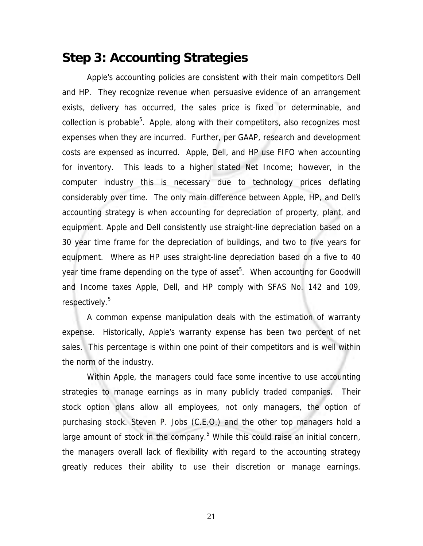## **Step 3: Accounting Strategies**

Apple's accounting policies are consistent with their main competitors Dell and HP. They recognize revenue when persuasive evidence of an arrangement exists, delivery has occurred, the sales price is fixed or determinable, and collection is probable<sup>5</sup>. Apple, along with their competitors, also recognizes most expenses when they are incurred. Further, per GAAP, research and development costs are expensed as incurred. Apple, Dell, and HP use FIFO when accounting for inventory. This leads to a higher stated Net Income; however, in the computer industry this is necessary due to technology prices deflating considerably over time. The only main difference between Apple, HP, and Dell's accounting strategy is when accounting for depreciation of property, plant, and equipment. Apple and Dell consistently use straight-line depreciation based on a 30 year time frame for the depreciation of buildings, and two to five years for equipment. Where as HP uses straight-line depreciation based on a five to 40 year time frame depending on the type of asset<sup>5</sup>. When accounting for Goodwill and Income taxes Apple, Dell, and HP comply with SFAS No. 142 and 109, respectively.<sup>5</sup>

A common expense manipulation deals with the estimation of warranty expense. Historically, Apple's warranty expense has been two percent of net sales. This percentage is within one point of their competitors and is well within the norm of the industry.

Within Apple, the managers could face some incentive to use accounting strategies to manage earnings as in many publicly traded companies. Their stock option plans allow all employees, not only managers, the option of purchasing stock. Steven P. Jobs (C.E.O.) and the other top managers hold a large amount of stock in the company.<sup>5</sup> While this could raise an initial concern, the managers overall lack of flexibility with regard to the accounting strategy greatly reduces their ability to use their discretion or manage earnings.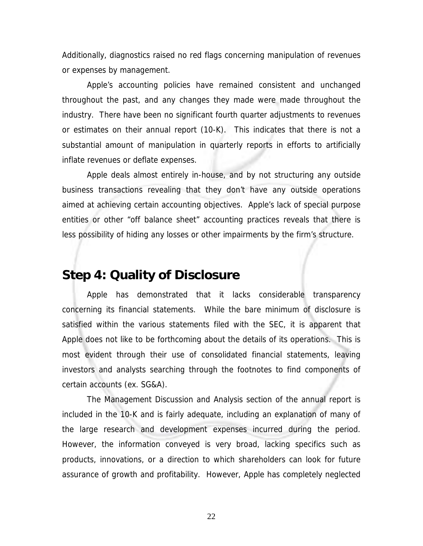Additionally, diagnostics raised no red flags concerning manipulation of revenues or expenses by management.

Apple's accounting policies have remained consistent and unchanged throughout the past, and any changes they made were made throughout the industry. There have been no significant fourth quarter adjustments to revenues or estimates on their annual report (10-K). This indicates that there is not a substantial amount of manipulation in quarterly reports in efforts to artificially inflate revenues or deflate expenses.

Apple deals almost entirely in-house, and by not structuring any outside business transactions revealing that they don't have any outside operations aimed at achieving certain accounting objectives. Apple's lack of special purpose entities or other "off balance sheet" accounting practices reveals that there is less possibility of hiding any losses or other impairments by the firm's structure.

## **Step 4: Quality of Disclosure**

Apple has demonstrated that it lacks considerable transparency concerning its financial statements. While the bare minimum of disclosure is satisfied within the various statements filed with the SEC, it is apparent that Apple does not like to be forthcoming about the details of its operations. This is most evident through their use of consolidated financial statements, leaving investors and analysts searching through the footnotes to find components of certain accounts (ex. SG&A).

The Management Discussion and Analysis section of the annual report is included in the 10-K and is fairly adequate, including an explanation of many of the large research and development expenses incurred during the period. However, the information conveyed is very broad, lacking specifics such as products, innovations, or a direction to which shareholders can look for future assurance of growth and profitability. However, Apple has completely neglected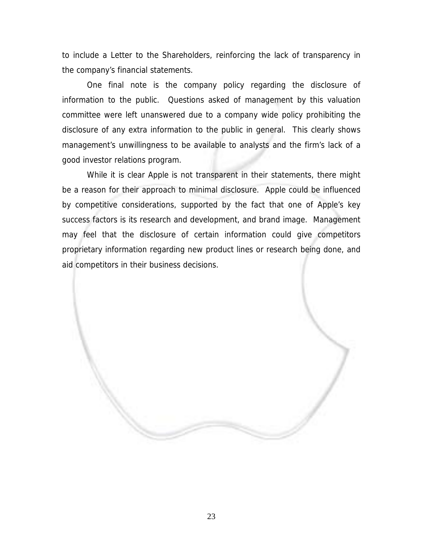to include a Letter to the Shareholders, reinforcing the lack of transparency in the company's financial statements.

One final note is the company policy regarding the disclosure of information to the public. Questions asked of management by this valuation committee were left unanswered due to a company wide policy prohibiting the disclosure of any extra information to the public in general. This clearly shows management's unwillingness to be available to analysts and the firm's lack of a good investor relations program.

While it is clear Apple is not transparent in their statements, there might be a reason for their approach to minimal disclosure. Apple could be influenced by competitive considerations, supported by the fact that one of Apple's key success factors is its research and development, and brand image. Management may feel that the disclosure of certain information could give competitors proprietary information regarding new product lines or research being done, and aid competitors in their business decisions.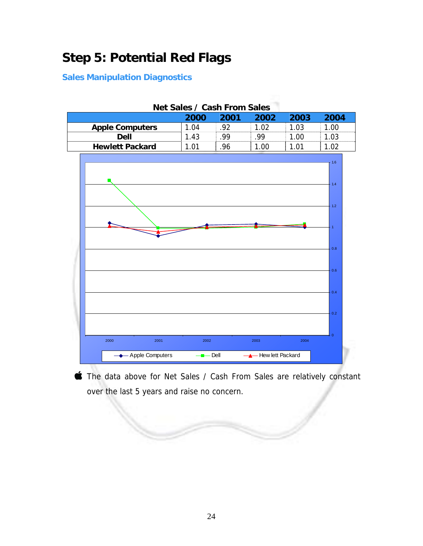# **Step 5: Potential Red Flags**

### **Sales Manipulation Diagnostics**

| Net Sales / Cash From Sales |                     |      |                  |      |                |  |
|-----------------------------|---------------------|------|------------------|------|----------------|--|
|                             | 2000                | 2001 | 2002             | 2003 | 2004           |  |
| <b>Apple Computers</b>      | 1.04                | .92  | 1.02             | 1.03 | 1.00           |  |
| <b>Dell</b>                 | 1.43                | .99  | .99              | 1.00 | 1.03           |  |
| <b>Hewlett Packard</b>      | 1.01                | .96  | 1.00             | 1.01 | 1.02           |  |
|                             |                     |      |                  |      |                |  |
|                             |                     |      |                  |      | 1.6            |  |
|                             |                     |      |                  |      |                |  |
|                             |                     |      |                  |      | 1.4            |  |
|                             |                     |      |                  |      |                |  |
|                             |                     |      |                  |      | 1.2            |  |
|                             |                     |      |                  |      |                |  |
|                             |                     |      |                  |      |                |  |
|                             |                     |      |                  |      |                |  |
|                             |                     |      |                  |      |                |  |
|                             |                     |      |                  |      | 0.8            |  |
|                             |                     |      |                  |      |                |  |
|                             |                     |      |                  |      | 0.6            |  |
|                             |                     |      |                  |      |                |  |
|                             |                     |      |                  |      |                |  |
|                             |                     |      |                  |      | 0.4            |  |
|                             |                     |      |                  |      |                |  |
|                             |                     |      |                  |      | 0.2            |  |
|                             |                     |      |                  |      |                |  |
|                             |                     |      |                  |      | $\overline{0}$ |  |
| 2000<br>2001                | 2002                |      | 2003             | 2004 |                |  |
| Apple Computers             | $\blacksquare$ Dell |      | Hew lett Packard |      |                |  |
|                             |                     |      |                  |      |                |  |

The data above for Net Sales / Cash From Sales are relatively constant over the last 5 years and raise no concern.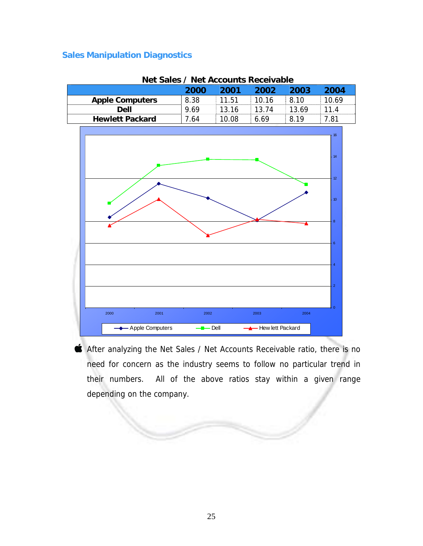|                        | 2000 | 2001  | 2002  | 2003  | 2004           |
|------------------------|------|-------|-------|-------|----------------|
| <b>Apple Computers</b> | 8.38 | 11.51 | 10.16 | 8.10  | 10.69          |
| <b>Dell</b>            | 9.69 | 13.16 | 13.74 | 13.69 | 11.4           |
| <b>Hewlett Packard</b> | 7.64 | 10.08 | 6.69  | 8.19  | 7.81           |
|                        |      |       |       |       |                |
|                        |      |       |       |       | 16             |
|                        |      |       |       |       |                |
|                        |      |       |       |       | 14             |
|                        |      |       |       |       |                |
|                        |      |       |       |       |                |
|                        |      |       |       |       | 12             |
|                        |      |       |       |       |                |
|                        |      |       |       |       | $10$           |
|                        |      |       |       |       |                |
|                        |      |       |       |       | 8              |
|                        |      |       |       |       |                |
|                        |      |       |       |       |                |
|                        |      |       |       |       | $6\phantom{1}$ |
|                        |      |       |       |       |                |
|                        |      |       |       |       | $\overline{4}$ |
|                        |      |       |       |       |                |
|                        |      |       |       |       |                |
|                        |      |       |       |       | $\overline{2}$ |
|                        |      |       |       |       |                |
|                        |      |       |       |       | $\mathbf{0}$   |
| 2000<br>2001           | 2002 |       | 2003  | 2004  |                |
|                        |      |       |       |       |                |

**Net Sales / Net Accounts Receivable** 

After analyzing the Net Sales / Net Accounts Receivable ratio, there is no need for concern as the industry seems to follow no particular trend in their numbers. All of the above ratios stay within a given range depending on the company.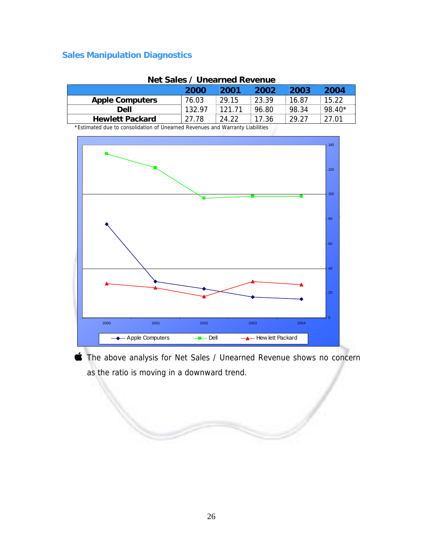| NG JANJI UNG NGA KUMUA                                                        |        |        |       |       |          |  |  |
|-------------------------------------------------------------------------------|--------|--------|-------|-------|----------|--|--|
|                                                                               | 2000   | 2001   | 2002  | 2003  | 2004     |  |  |
| <b>Apple Computers</b>                                                        | 76.03  | 29.15  | 23.39 | 16.87 | 15.22    |  |  |
| Dell                                                                          | 132.97 | 121.71 | 96.80 | 98.34 | $98.40*$ |  |  |
| <b>Hewlett Packard</b>                                                        | 27.78  | 24.22  | 17.36 | 29.27 | 27.01    |  |  |
| *Ectimated due to concelidation of Unearned Devenues and Warrenty Liabilities |        |        |       |       |          |  |  |

#### **Net Sales / Unearned Revenue**

Estimated due to consolidation of Unearned Revenues and Warranty Liabilities



The above analysis for Net Sales / Unearned Revenue shows no concern as the ratio is moving in a downward trend.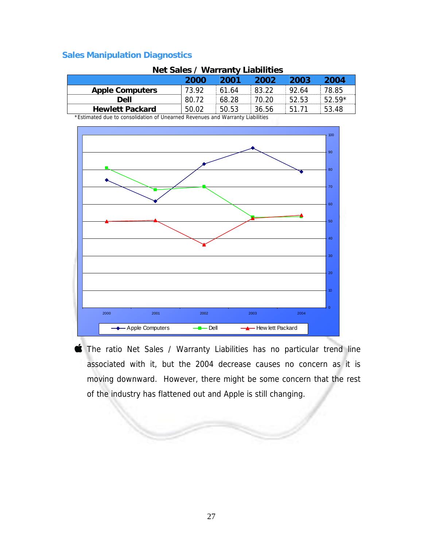| <b>Net Sales / Wallanty Liabilities</b> |       |       |       |       |          |  |
|-----------------------------------------|-------|-------|-------|-------|----------|--|
|                                         | 2000  | 2001  | 2002  | 2003  | 2004     |  |
| <b>Apple Computers</b>                  | 73.92 | 61.64 | 83.22 | 92.64 | 78.85    |  |
| Dell                                    | 80.72 | 68.28 | 70.20 | 52.53 | $52.59*$ |  |
| <b>Hewlett Packard</b>                  | 50.02 | 50.53 | 36.56 | 51.71 | 53.48    |  |

### **Net Sales / Warranty Liabilities**

\*Estimated due to consolidation of Unearned Revenues and Warranty Liabilities



The ratio Net Sales / Warranty Liabilities has no particular trend line associated with it, but the 2004 decrease causes no concern as it is moving downward. However, there might be some concern that the rest of the industry has flattened out and Apple is still changing.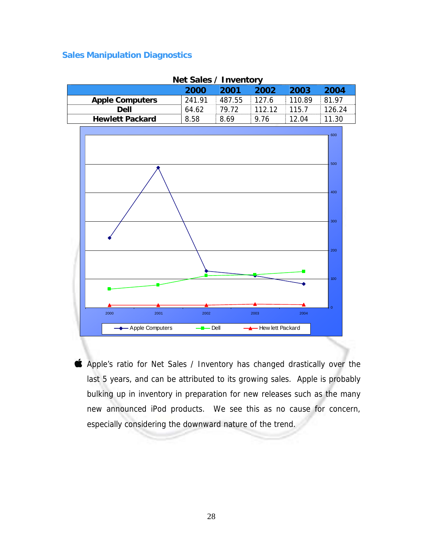|                        | 2000                | 2001   | 2002               | 2003   | 2004           |
|------------------------|---------------------|--------|--------------------|--------|----------------|
| <b>Apple Computers</b> | 241.91              | 487.55 | 127.6              | 110.89 | 81.97          |
| <b>Dell</b>            | 64.62               | 79.72  | 112.12             | 115.7  | 126.24         |
| <b>Hewlett Packard</b> | 8.58                | 8.69   | 9.76               | 12.04  | 11.30          |
|                        |                     |        |                    |        |                |
|                        |                     |        |                    |        | 600            |
|                        |                     |        |                    |        |                |
|                        |                     |        |                    |        |                |
|                        |                     |        |                    |        | 500            |
|                        |                     |        |                    |        |                |
|                        |                     |        |                    |        |                |
|                        |                     |        |                    |        | 400            |
|                        |                     |        |                    |        |                |
|                        |                     |        |                    |        |                |
|                        |                     |        |                    |        |                |
|                        |                     |        |                    |        | 300            |
|                        |                     |        |                    |        |                |
|                        |                     |        |                    |        |                |
|                        |                     |        |                    |        | 200            |
|                        |                     |        |                    |        |                |
|                        |                     |        |                    |        |                |
|                        |                     |        |                    |        | 100            |
|                        |                     |        |                    |        |                |
|                        |                     |        |                    |        |                |
|                        |                     |        |                    |        |                |
|                        |                     |        |                    |        | $\overline{0}$ |
| 2000<br>2001           | 2002                |        | 2003               | 2004   |                |
| - Apple Computers      | $\blacksquare$ Dell |        | - Hew lett Packard |        |                |

#### **Net Sales / Inventory**

Apple's ratio for Net Sales / Inventory has changed drastically over the last 5 years, and can be attributed to its growing sales. Apple is probably bulking up in inventory in preparation for new releases such as the many new announced iPod products. We see this as no cause for concern, especially considering the downward nature of the trend.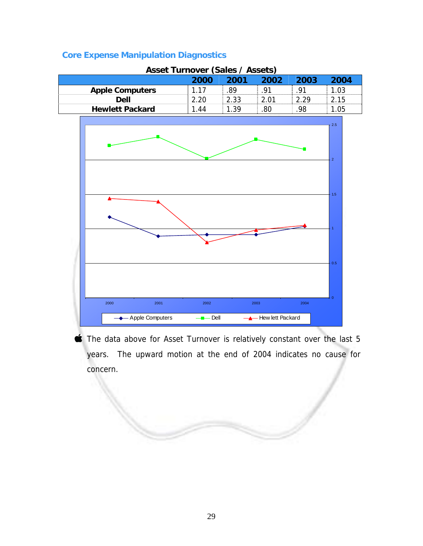|  | <b>Core Expense Manipulation Diagnostics</b> |  |
|--|----------------------------------------------|--|
|  |                                              |  |

| <b>Asset Turnover (Sales / Assets)</b> |      |      |      |      |      |  |  |
|----------------------------------------|------|------|------|------|------|--|--|
| 2004<br>2001<br>2002<br>2003<br>2000   |      |      |      |      |      |  |  |
| <b>Apple Computers</b>                 | 1.17 | .89  | -91  | -91  | 1.03 |  |  |
| <b>Dell</b>                            | 2.20 | 2.33 | 2.01 | 2.29 | 2.15 |  |  |
| <b>Hewlett Packard</b>                 | 1.44 | 1.39 | 80   | .98  | 1.05 |  |  |



The data above for Asset Turnover is relatively constant over the last 5 years. The upward motion at the end of 2004 indicates no cause for concern.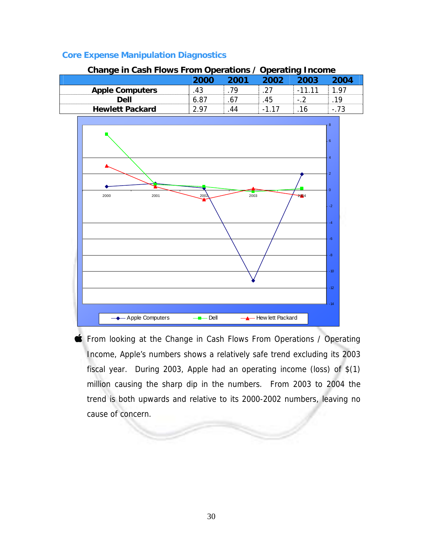| Change in Cash Flows From Operations / Operating Income |      |      |       |         |        |
|---------------------------------------------------------|------|------|-------|---------|--------|
|                                                         | 2000 | 2001 | 2002  | 2003    | 2004   |
| <b>Apple Computers</b>                                  | 43   | 79   | -27   | $-1111$ | 197    |
| Dell                                                    | 6.87 | .67  | .45   | - 2     | 19     |
| <b>Hewlett Packard</b>                                  | 297  | 44   | -1 17 | 16      | $-.73$ |

### **Core Expense Manipulation Diagnostics**



**From looking at the Change in Cash Flows From Operations / Operating** Income, Apple's numbers shows a relatively safe trend excluding its 2003 fiscal year. During 2003, Apple had an operating income (loss) of \$(1) million causing the sharp dip in the numbers. From 2003 to 2004 the trend is both upwards and relative to its 2000-2002 numbers, leaving no cause of concern.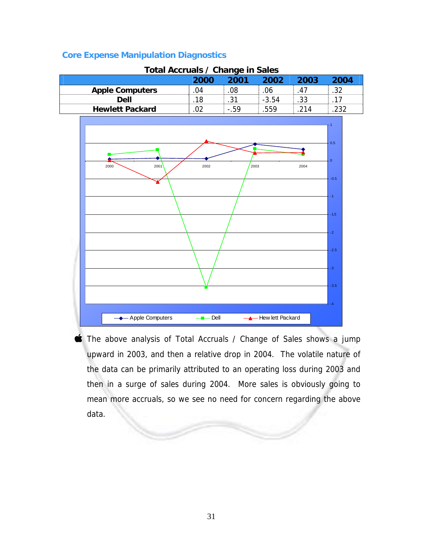### **Core Expense Manipulation Diagnostics**

| TULAI ACCIUDIS / CHAIRE III JAIUS |      |        |         |      |      |
|-----------------------------------|------|--------|---------|------|------|
|                                   | 2000 | 2001   | 2002    | 2003 | 2004 |
| <b>Apple Computers</b>            | 04   | .08    | .06     | .47  | .32  |
| Dell                              | 18   | .31    | $-3.54$ | .33  | .17  |
| <b>Hewlett Packard</b>            | 02   | $-.59$ | 559     | 214  | 232  |





**The above analysis of Total Accruals / Change of Sales shows a jump** upward in 2003, and then a relative drop in 2004. The volatile nature of the data can be primarily attributed to an operating loss during 2003 and then in a surge of sales during 2004. More sales is obviously going to mean more accruals, so we see no need for concern regarding the above data.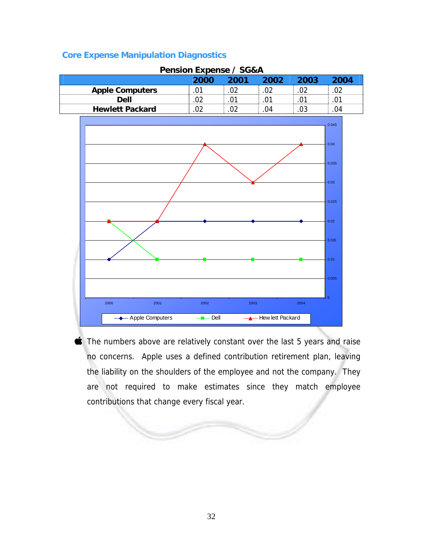### **Core Expense Manipulation Diagnostics**

| <b>FURNIFUL LAPEIRE</b> / JUQA |      |      |      |      |      |  |  |  |
|--------------------------------|------|------|------|------|------|--|--|--|
|                                | 2000 | 2001 | 2002 | 2003 | 2004 |  |  |  |
| <b>Apple Computers</b>         |      |      |      |      |      |  |  |  |
| Dell                           |      | ሰ1   |      |      |      |  |  |  |
| <b>Hewlett Packard</b>         |      |      | 94   |      | 04   |  |  |  |





The numbers above are relatively constant over the last 5 years and raise no concerns. Apple uses a defined contribution retirement plan, leaving the liability on the shoulders of the employee and not the company. They are not required to make estimates since they match employee contributions that change every fiscal year.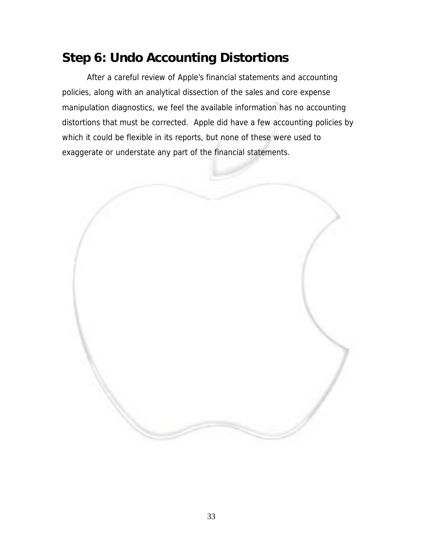## **Step 6: Undo Accounting Distortions**

 After a careful review of Apple's financial statements and accounting policies, along with an analytical dissection of the sales and core expense manipulation diagnostics, we feel the available information has no accounting distortions that must be corrected. Apple did have a few accounting policies by which it could be flexible in its reports, but none of these were used to exaggerate or understate any part of the financial statements.

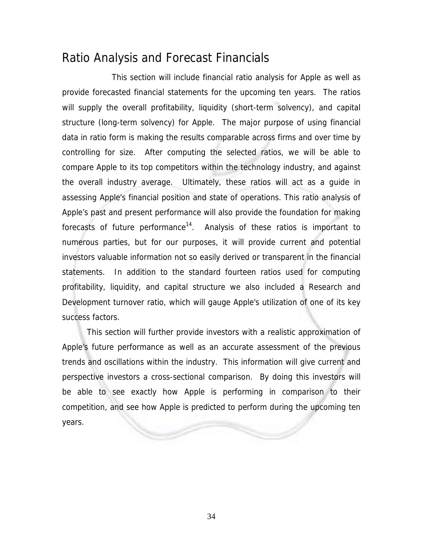## Ratio Analysis and Forecast Financials

 This section will include financial ratio analysis for Apple as well as provide forecasted financial statements for the upcoming ten years. The ratios will supply the overall profitability, liquidity (short-term solvency), and capital structure (long-term solvency) for Apple. The major purpose of using financial data in ratio form is making the results comparable across firms and over time by controlling for size. After computing the selected ratios, we will be able to compare Apple to its top competitors within the technology industry, and against the overall industry average. Ultimately, these ratios will act as a guide in assessing Apple's financial position and state of operations. This ratio analysis of Apple's past and present performance will also provide the foundation for making forecasts of future performance<sup>14</sup>. Analysis of these ratios is important to numerous parties, but for our purposes, it will provide current and potential investors valuable information not so easily derived or transparent in the financial statements. In addition to the standard fourteen ratios used for computing profitability, liquidity, and capital structure we also included a Research and Development turnover ratio, which will gauge Apple's utilization of one of its key success factors.

This section will further provide investors with a realistic approximation of Apple's future performance as well as an accurate assessment of the previous trends and oscillations within the industry. This information will give current and perspective investors a cross-sectional comparison. By doing this investors will be able to see exactly how Apple is performing in comparison to their competition, and see how Apple is predicted to perform during the upcoming ten years.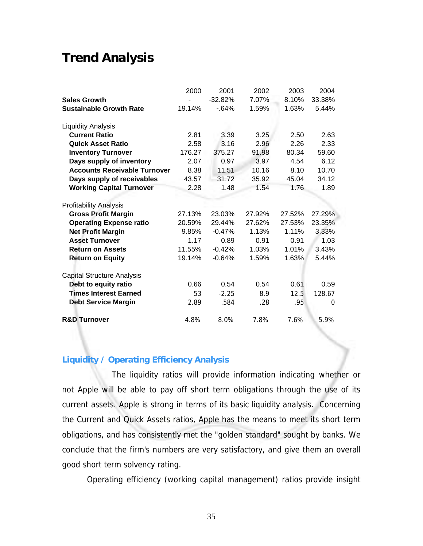## **Trend Analysis**

|                                     | 2000   | 2001      | 2002   | 2003   | 2004   |
|-------------------------------------|--------|-----------|--------|--------|--------|
| <b>Sales Growth</b>                 |        | $-32.82%$ | 7.07%  | 8.10%  | 33.38% |
| <b>Sustainable Growth Rate</b>      | 19.14% | $-64%$    | 1.59%  | 1.63%  | 5.44%  |
| <b>Liquidity Analysis</b>           |        |           |        |        |        |
| <b>Current Ratio</b>                | 2.81   | 3.39      | 3.25   | 2.50   | 2.63   |
| <b>Quick Asset Ratio</b>            | 2.58   | 3.16      | 2.96   | 2.26   | 2.33   |
| <b>Inventory Turnover</b>           | 176.27 | 375.27    | 91.98  | 80.34  | 59.60  |
| Days supply of inventory            | 2.07   | 0.97      | 3.97   | 4.54   | 6.12   |
| <b>Accounts Receivable Turnover</b> | 8.38   | 11.51     | 10.16  | 8.10   | 10.70  |
| Days supply of receivables          | 43.57  | 31.72     | 35.92  | 45.04  | 34.12  |
| <b>Working Capital Turnover</b>     | 2.28   | 1.48      | 1.54   | 1.76   | 1.89   |
| <b>Profitability Analysis</b>       |        |           |        |        |        |
| <b>Gross Profit Margin</b>          | 27.13% | 23.03%    | 27.92% | 27.52% | 27.29% |
| <b>Operating Expense ratio</b>      | 20.59% | 29.44%    | 27.62% | 27.53% | 23.35% |
| <b>Net Profit Margin</b>            | 9.85%  | $-0.47%$  | 1.13%  | 1.11%  | 3.33%  |
| <b>Asset Turnover</b>               | 1.17   | 0.89      | 0.91   | 0.91   | 1.03   |
| <b>Return on Assets</b>             | 11.55% | $-0.42%$  | 1.03%  | 1.01%  | 3.43%  |
| <b>Return on Equity</b>             | 19.14% | $-0.64%$  | 1.59%  | 1.63%  | 5.44%  |
| <b>Capital Structure Analysis</b>   |        |           |        |        |        |
| Debt to equity ratio                | 0.66   | 0.54      | 0.54   | 0.61   | 0.59   |
| <b>Times Interest Earned</b>        | 53     | $-2.25$   | 8.9    | 12.5   | 128.67 |
| <b>Debt Service Margin</b>          | 2.89   | .584      | .28    | .95    | 0      |
| <b>R&amp;D Turnover</b>             | 4.8%   | 8.0%      | 7.8%   | 7.6%   | 5.9%   |

### **Liquidity / Operating Efficiency Analysis**

The liquidity ratios will provide information indicating whether or not Apple will be able to pay off short term obligations through the use of its current assets. Apple is strong in terms of its basic liquidity analysis. Concerning the Current and Quick Assets ratios, Apple has the means to meet its short term obligations, and has consistently met the "golden standard" sought by banks. We conclude that the firm's numbers are very satisfactory, and give them an overall good short term solvency rating.

Operating efficiency (working capital management) ratios provide insight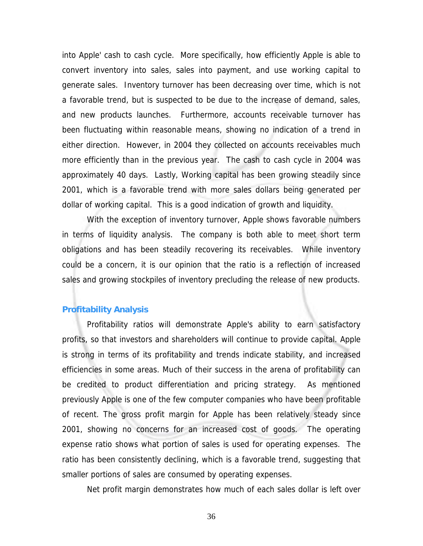into Apple' cash to cash cycle. More specifically, how efficiently Apple is able to convert inventory into sales, sales into payment, and use working capital to generate sales. Inventory turnover has been decreasing over time, which is not a favorable trend, but is suspected to be due to the increase of demand, sales, and new products launches. Furthermore, accounts receivable turnover has been fluctuating within reasonable means, showing no indication of a trend in either direction. However, in 2004 they collected on accounts receivables much more efficiently than in the previous year. The cash to cash cycle in 2004 was approximately 40 days. Lastly, Working capital has been growing steadily since 2001, which is a favorable trend with more sales dollars being generated per dollar of working capital. This is a good indication of growth and liquidity.

With the exception of inventory turnover, Apple shows favorable numbers in terms of liquidity analysis. The company is both able to meet short term obligations and has been steadily recovering its receivables. While inventory could be a concern, it is our opinion that the ratio is a reflection of increased sales and growing stockpiles of inventory precluding the release of new products.

#### **Profitability Analysis**

Profitability ratios will demonstrate Apple's ability to earn satisfactory profits, so that investors and shareholders will continue to provide capital. Apple is strong in terms of its profitability and trends indicate stability, and increased efficiencies in some areas. Much of their success in the arena of profitability can be credited to product differentiation and pricing strategy. As mentioned previously Apple is one of the few computer companies who have been profitable of recent. The gross profit margin for Apple has been relatively steady since 2001, showing no concerns for an increased cost of goods. The operating expense ratio shows what portion of sales is used for operating expenses. The ratio has been consistently declining, which is a favorable trend, suggesting that smaller portions of sales are consumed by operating expenses.

Net profit margin demonstrates how much of each sales dollar is left over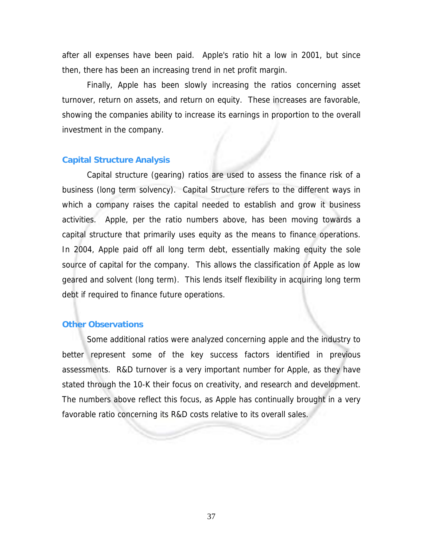after all expenses have been paid. Apple's ratio hit a low in 2001, but since then, there has been an increasing trend in net profit margin.

Finally, Apple has been slowly increasing the ratios concerning asset turnover, return on assets, and return on equity. These increases are favorable, showing the companies ability to increase its earnings in proportion to the overall investment in the company.

### **Capital Structure Analysis**

Capital structure (gearing) ratios are used to assess the finance risk of a business (long term solvency). Capital Structure refers to the different ways in which a company raises the capital needed to establish and grow it business activities. Apple, per the ratio numbers above, has been moving towards a capital structure that primarily uses equity as the means to finance operations. In 2004, Apple paid off all long term debt, essentially making equity the sole source of capital for the company. This allows the classification of Apple as low geared and solvent (long term). This lends itself flexibility in acquiring long term debt if required to finance future operations.

#### **Other Observations**

Some additional ratios were analyzed concerning apple and the industry to better represent some of the key success factors identified in previous assessments. R&D turnover is a very important number for Apple, as they have stated through the 10-K their focus on creativity, and research and development. The numbers above reflect this focus, as Apple has continually brought in a very favorable ratio concerning its R&D costs relative to its overall sales.

37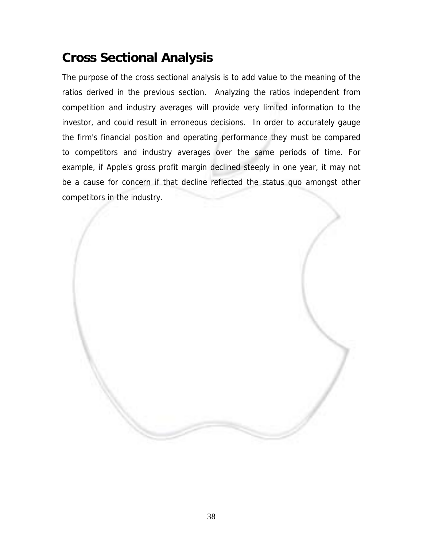# **Cross Sectional Analysis**

The purpose of the cross sectional analysis is to add value to the meaning of the ratios derived in the previous section. Analyzing the ratios independent from competition and industry averages will provide very limited information to the investor, and could result in erroneous decisions. In order to accurately gauge the firm's financial position and operating performance they must be compared to competitors and industry averages over the same periods of time. For example, if Apple's gross profit margin declined steeply in one year, it may not be a cause for concern if that decline reflected the status quo amongst other competitors in the industry.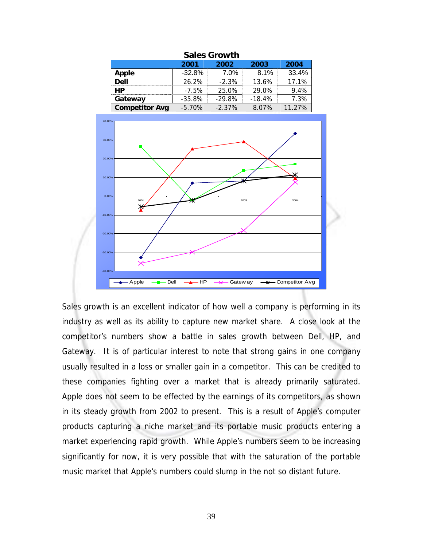| <b>Sales Growth</b>          |           |          |          |        |  |  |  |  |
|------------------------------|-----------|----------|----------|--------|--|--|--|--|
| 2003<br>2004<br>2002<br>2001 |           |          |          |        |  |  |  |  |
| Apple                        | $-32.8%$  | $7.0\%$  | 8.1%     | 33.4%  |  |  |  |  |
| <b>Dell</b>                  | $26.2\%$  | $-2.3\%$ | 13.6%    | 17.1%  |  |  |  |  |
| HP                           | $-7.5%$   | 25.0%    | 29.0%    | 9.4%   |  |  |  |  |
| Gateway                      | $-35.8\%$ | $-29.8%$ | $-18.4%$ | 7.3%   |  |  |  |  |
| <b>Competitor Avg</b>        | $-5.70%$  | $-2.37%$ | 8.07%    | 11.27% |  |  |  |  |



Sales growth is an excellent indicator of how well a company is performing in its industry as well as its ability to capture new market share. A close look at the competitor's numbers show a battle in sales growth between Dell, HP, and Gateway. It is of particular interest to note that strong gains in one company usually resulted in a loss or smaller gain in a competitor. This can be credited to these companies fighting over a market that is already primarily saturated. Apple does not seem to be effected by the earnings of its competitors, as shown in its steady growth from 2002 to present. This is a result of Apple's computer products capturing a niche market and its portable music products entering a market experiencing rapid growth. While Apple's numbers seem to be increasing significantly for now, it is very possible that with the saturation of the portable music market that Apple's numbers could slump in the not so distant future.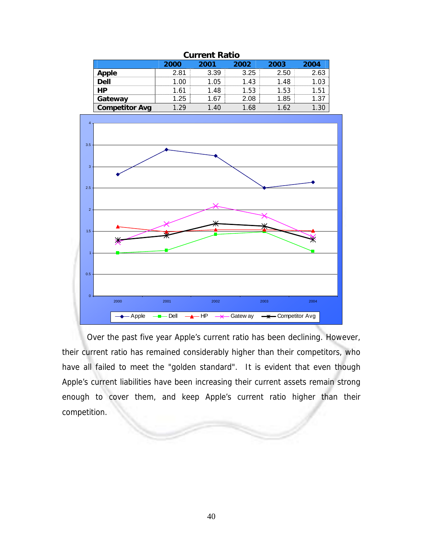| current Ratio         |      |       |      |      |      |  |
|-----------------------|------|-------|------|------|------|--|
|                       | 2000 | 2001  | 2002 | 2003 | 2004 |  |
| <b>Apple</b>          | 2.81 | 3.39  | 3.25 | 2.50 | 2.63 |  |
| <b>Dell</b>           | 1.00 | 1.05  | 1.43 | 1.48 |      |  |
| <b>HP</b>             | 1 61 | 1.48  | 1.53 | 1.53 | 1.51 |  |
| Gateway               | 1.25 | 1.67  | 2.08 | 1.85 | 1.37 |  |
| <b>Competitor Avg</b> | .29  | 40. ا | 1.68 | 1.62 |      |  |





Over the past five year Apple's current ratio has been declining. However, their current ratio has remained considerably higher than their competitors, who have all failed to meet the "golden standard". It is evident that even though Apple's current liabilities have been increasing their current assets remain strong enough to cover them, and keep Apple's current ratio higher than their competition.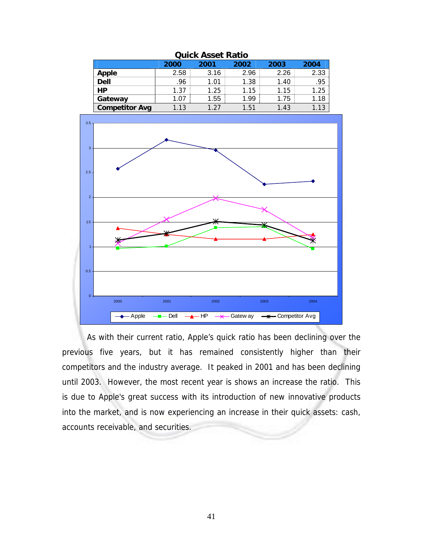| QUIUN ASSEL NATIU     |      |      |      |      |      |  |
|-----------------------|------|------|------|------|------|--|
|                       | 2000 | 2001 | 2002 | 2003 | 2004 |  |
| <b>Apple</b>          | 2.58 | 3.16 | 2.96 | 2.26 | 2.33 |  |
| $\overline{$          | .96  | 1.01 | 1.38 | 1.40 | .95  |  |
| <b>HP</b>             | 1.37 | 1.25 | 1.15 | 1.15 | 1.25 |  |
| Gateway               | 1.07 | 1.55 | 1.99 | 1.75 | 1.18 |  |
| <b>Competitor Avg</b> | 1.13 | .27  | 151  | 1.43 |      |  |





 As with their current ratio, Apple's quick ratio has been declining over the previous five years, but it has remained consistently higher than their competitors and the industry average. It peaked in 2001 and has been declining until 2003. However, the most recent year is shows an increase the ratio. This is due to Apple's great success with its introduction of new innovative products into the market, and is now experiencing an increase in their quick assets: cash, accounts receivable, and securities.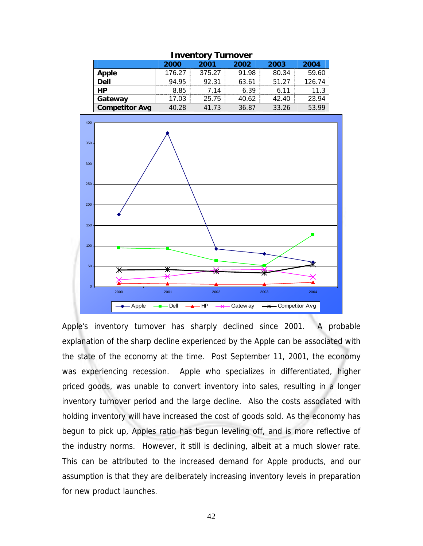| <b>Inventory Turnover</b> |        |        |       |       |        |  |
|---------------------------|--------|--------|-------|-------|--------|--|
|                           | 2000   | 2001   | 2002  | 2003  | 2004   |  |
| Apple                     | 176.27 | 375.27 | 91.98 | 80.34 | 59.60  |  |
| <b>Dell</b>               | 94.95  | 92.31  | 63.61 | 51.27 | 126.74 |  |
| <b>HP</b>                 | 8.85   | 7.14   | 6.39  | 6.11  | 11.3   |  |
| Gateway                   | 17.03  | 25.75  | 40.62 | 42.40 | 23.94  |  |
| <b>Competitor Avg</b>     | 40.28  | 41.73  | 36.87 | 33.26 | 53.99  |  |





Apple's inventory turnover has sharply declined since 2001. A probable explanation of the sharp decline experienced by the Apple can be associated with the state of the economy at the time. Post September 11, 2001, the economy was experiencing recession. Apple who specializes in differentiated, higher priced goods, was unable to convert inventory into sales, resulting in a longer inventory turnover period and the large decline. Also the costs associated with holding inventory will have increased the cost of goods sold. As the economy has begun to pick up, Apples ratio has begun leveling off, and is more reflective of the industry norms. However, it still is declining, albeit at a much slower rate. This can be attributed to the increased demand for Apple products, and our assumption is that they are deliberately increasing inventory levels in preparation for new product launches.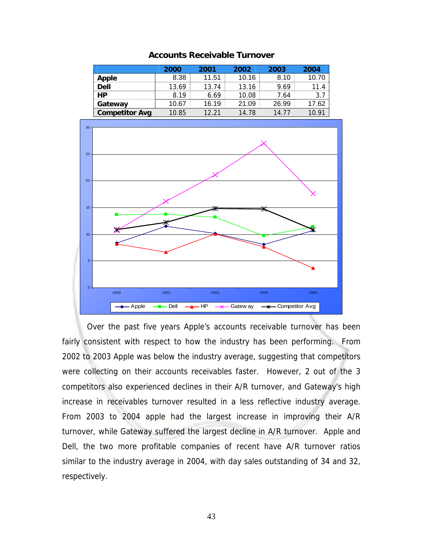|                       | 2000  | 2001  | 2002  | 2003  | 2004  |
|-----------------------|-------|-------|-------|-------|-------|
| Apple                 | 8.38  | 11.51 | 10.16 | 8.10  | 10.70 |
| <b>Dell</b>           | 13.69 | 13.74 | 13.16 | 9.69  | 11.4  |
| <b>HP</b>             | 8 19  | 6.69  | 10.08 | 7.64  | 3.7   |
| Gateway               | 10.67 | 16.19 | 21.09 | 26.99 | 17.62 |
| <b>Competitor Avg</b> | 10.85 | 12.21 | 14.78 | 14.77 | 10.91 |

**Accounts Receivable Turnover** 



 Over the past five years Apple's accounts receivable turnover has been fairly consistent with respect to how the industry has been performing. From 2002 to 2003 Apple was below the industry average, suggesting that competitors were collecting on their accounts receivables faster. However, 2 out of the 3 competitors also experienced declines in their A/R turnover, and Gateway's high increase in receivables turnover resulted in a less reflective industry average. From 2003 to 2004 apple had the largest increase in improving their A/R turnover, while Gateway suffered the largest decline in A/R turnover. Apple and Dell, the two more profitable companies of recent have A/R turnover ratios similar to the industry average in 2004, with day sales outstanding of 34 and 32, respectively.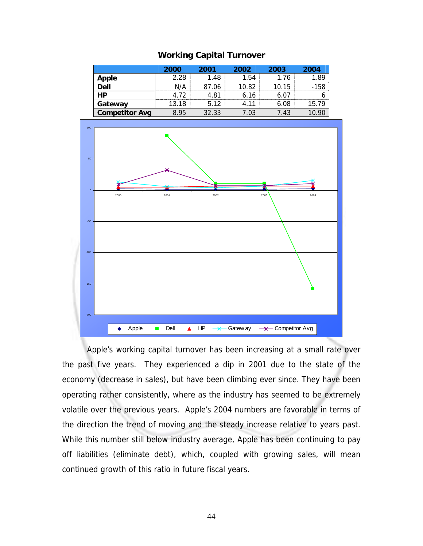|                       | 2000  | 2001  | 2002  | 2003  | 2004   |
|-----------------------|-------|-------|-------|-------|--------|
| Apple                 | 2.28  | 1.48  | 1.54  | 1.76  | 1.89   |
| <b>Dell</b>           | N/A   | 87.06 | 10.82 | 10.15 | $-158$ |
| HP                    | 4 72  | 4.81  | 6.16  | 6.07  | 6      |
| Gateway               | 13.18 | 5.12  | 4.11  | 6.08  | 15.79  |
| <b>Competitor Avg</b> | 8.95  | 32.33 | 7.03  | 7.43  |        |



 Apple's working capital turnover has been increasing at a small rate over the past five years. They experienced a dip in 2001 due to the state of the economy (decrease in sales), but have been climbing ever since. They have been operating rather consistently, where as the industry has seemed to be extremely volatile over the previous years. Apple's 2004 numbers are favorable in terms of the direction the trend of moving and the steady increase relative to years past. While this number still below industry average, Apple has been continuing to pay off liabilities (eliminate debt), which, coupled with growing sales, will mean continued growth of this ratio in future fiscal years.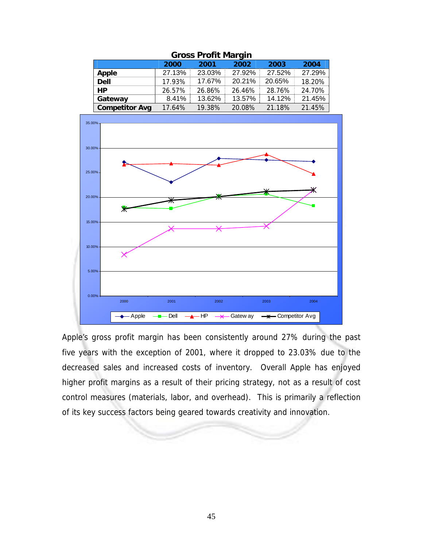| Gross Profit Margin   |        |        |        |        |        |  |  |
|-----------------------|--------|--------|--------|--------|--------|--|--|
|                       | 2000   | 2001   | 2002   | 2003   | 2004   |  |  |
| Apple                 | 27.13% | 23.03% | 27.92% | 27.52% | 27.29% |  |  |
| <b>Dell</b>           | 17.93% | 17.67% | 20.21% | 20.65% | 18.20% |  |  |
| HP.                   | 26.57% | 26.86% | 26.46% | 28.76% | 24.70% |  |  |
| Gateway               | 8.41%  | 13.62% | 13.57% | 14.12% | 21.45% |  |  |
| <b>Competitor Avg</b> | 17.64% | 19.38% | 20.08% | 21.18% | 21.45% |  |  |





Apple's gross profit margin has been consistently around 27% during the past five years with the exception of 2001, where it dropped to 23.03% due to the decreased sales and increased costs of inventory. Overall Apple has enjoyed higher profit margins as a result of their pricing strategy, not as a result of cost control measures (materials, labor, and overhead). This is primarily a reflection of its key success factors being geared towards creativity and innovation.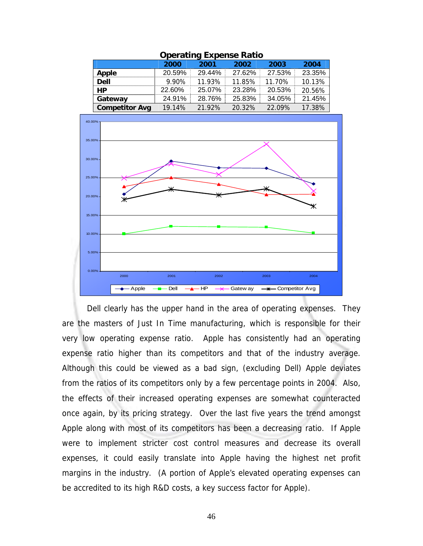| Operating Experise Ratio |        |        |        |        |        |  |  |
|--------------------------|--------|--------|--------|--------|--------|--|--|
|                          | 2000   | 2001   | 2002   | 2003   | 2004   |  |  |
| Apple                    | 20.59% | 29.44% | 27.62% | 27.53% | 23.35% |  |  |
| <b>Dell</b>              | 9.90%  | 11.93% | 11.85% | 11.70% | 10.13% |  |  |
| <b>HP</b>                | 22.60% | 25.07% | 23.28% | 20.53% | 20.56% |  |  |
| Gateway                  | 24.91% | 28.76% | 25.83% | 34.05% | 21.45% |  |  |
| <b>Competitor Avg</b>    | 19.14% | 21.92% | 20.32% | 22.09% | 17.38% |  |  |

### **Operating Expense Ratio**



 Dell clearly has the upper hand in the area of operating expenses. They are the masters of Just In Time manufacturing, which is responsible for their very low operating expense ratio. Apple has consistently had an operating expense ratio higher than its competitors and that of the industry average. Although this could be viewed as a bad sign, (excluding Dell) Apple deviates from the ratios of its competitors only by a few percentage points in 2004. Also, the effects of their increased operating expenses are somewhat counteracted once again, by its pricing strategy. Over the last five years the trend amongst Apple along with most of its competitors has been a decreasing ratio. If Apple were to implement stricter cost control measures and decrease its overall expenses, it could easily translate into Apple having the highest net profit margins in the industry. (A portion of Apple's elevated operating expenses can be accredited to its high R&D costs, a key success factor for Apple).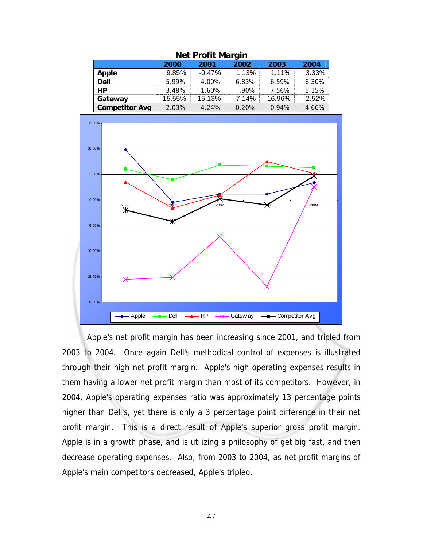| <b>NEL PLUTH MICHAEL</b> |           |           |          |           |       |  |  |
|--------------------------|-----------|-----------|----------|-----------|-------|--|--|
|                          | 2000      | 2001      | 2002     | 2003      | 2004  |  |  |
| <b>Apple</b>             | 9.85%     | $-0.47%$  | 1.13%    | 1.11%     | 3.33% |  |  |
| <b>Dell</b>              | 5.99%     | 4.00%     | 6.83%    | 6.59%     | 6.30% |  |  |
| <b>HP</b>                | 3.48%     | $-1.60%$  | $.90\%$  | 7.56%     | 5.15% |  |  |
| Gateway                  | $-15.55%$ | $-15.13%$ | $-7.14%$ | $-16.96%$ | 2.52% |  |  |
| <b>Competitor Avg</b>    | $-2.03%$  | $-4.24%$  | 0.20%    | $-0.94%$  | 4.66% |  |  |





 Apple's net profit margin has been increasing since 2001, and tripled from 2003 to 2004. Once again Dell's methodical control of expenses is illustrated through their high net profit margin. Apple's high operating expenses results in them having a lower net profit margin than most of its competitors. However, in 2004, Apple's operating expenses ratio was approximately 13 percentage points higher than Dell's, yet there is only a 3 percentage point difference in their net profit margin. This is a direct result of Apple's superior gross profit margin. Apple is in a growth phase, and is utilizing a philosophy of get big fast, and then decrease operating expenses. Also, from 2003 to 2004, as net profit margins of Apple's main competitors decreased, Apple's tripled.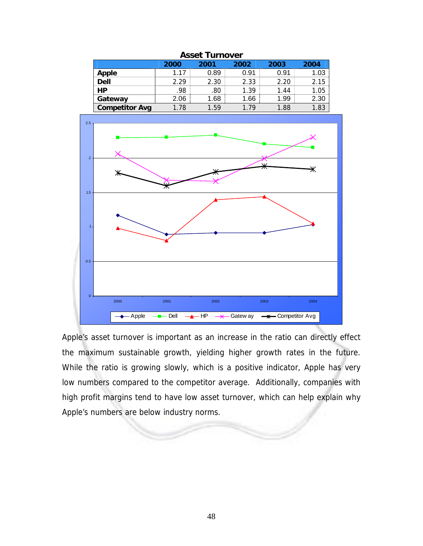| <b>Asset Turnover</b> |      |          |      |      |      |  |  |
|-----------------------|------|----------|------|------|------|--|--|
|                       | 2000 | 2001     | 2002 | 2003 | 2004 |  |  |
| <b>Apple</b>          | 1 17 | 0.89     | 0.91 | 0.91 | 1.03 |  |  |
| $\overline{$          | 2.29 | 2.30     | 2.33 | 2.20 | 2.15 |  |  |
| <b>HP</b>             | 98   | .80      | 1.39 | 1.44 | 1.05 |  |  |
| Gateway               | 2.06 | 1.68     | 1.66 | 1.99 | 2.30 |  |  |
| <b>Competitor Avg</b> | 1.78 | $1.59 -$ | 179  | 1.88 | 1.83 |  |  |



0.5

Apple's asset turnover is important as an increase in the ratio can directly effect the maximum sustainable growth, yielding higher growth rates in the future. While the ratio is growing slowly, which is a positive indicator, Apple has very low numbers compared to the competitor average. Additionally, companies with high profit margins tend to have low asset turnover, which can help explain why Apple's numbers are below industry norms.

2000 2001 2002 2003 2004 Apple - Dell - HP - Gatew ay - A Competitor Avg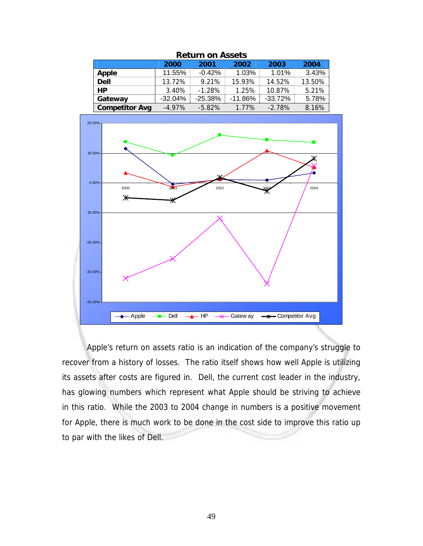| REIUITI UIT ASSEIS    |           |           |            |           |        |  |  |
|-----------------------|-----------|-----------|------------|-----------|--------|--|--|
|                       | 2000      | 2001      | 2002       | 2003      | 2004   |  |  |
| Apple                 | 11.55%    | $-0.42%$  | 1.03%      | 1.01%     | 3.43%  |  |  |
| <b>Dell</b>           | 13.72%    | 9.21%     | 15.93%     | 14.52%    | 13.50% |  |  |
| <b>HP</b>             | 3.40%     | $-1.28%$  | 1.25%      | 10.87%    | 5.21%  |  |  |
| Gateway               | $-32.04%$ | $-25.38%$ | $-11.86\%$ | $-33.72%$ | 5.78%  |  |  |
| <b>Competitor Avg</b> | $-4.97\%$ | $-5.82\%$ | 1.77%      | $-2.78%$  | 8.16%  |  |  |





Apple's return on assets ratio is an indication of the company's struggle to recover from a history of losses. The ratio itself shows how well Apple is utilizing its assets after costs are figured in. Dell, the current cost leader in the industry, has glowing numbers which represent what Apple should be striving to achieve in this ratio. While the 2003 to 2004 change in numbers is a positive movement for Apple, there is much work to be done in the cost side to improve this ratio up to par with the likes of Dell.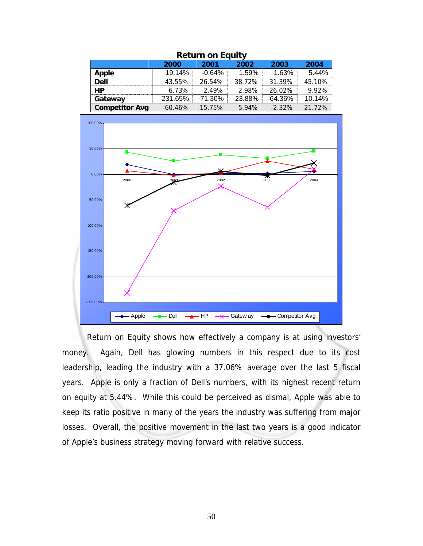| <b>Retaill Off Equity</b> |            |            |           |           |        |  |  |
|---------------------------|------------|------------|-----------|-----------|--------|--|--|
|                           | 2000       | 2001       | 2002      | 2003      | 2004   |  |  |
| Apple                     | 19.14%     | $-0.64%$   | 1.59%     | 1.63%     | 5.44%  |  |  |
| <b>Dell</b>               | 43.55%     | 26.54%     | 38.72%    | 31.39%    | 45.10% |  |  |
| <b>HP</b>                 | 6.73%      | $-2.49%$   | 2.98%     | 26.02%    | 9.92%  |  |  |
| Gateway                   | $-231.65%$ | $-71.30\%$ | $-23.88%$ | $-64.36%$ | 10.14% |  |  |
| <b>Competitor Avg</b>     | $-60.46\%$ | $-15.75\%$ | 5.94%     | $-2.32%$  | 21.72% |  |  |





Return on Equity shows how effectively a company is at using investors' money. Again, Dell has glowing numbers in this respect due to its cost leadership, leading the industry with a 37.06% average over the last 5 fiscal years. Apple is only a fraction of Dell's numbers, with its highest recent return on equity at 5.44%. While this could be perceived as dismal, Apple was able to keep its ratio positive in many of the years the industry was suffering from major losses. Overall, the positive movement in the last two years is a good indicator of Apple's business strategy moving forward with relative success.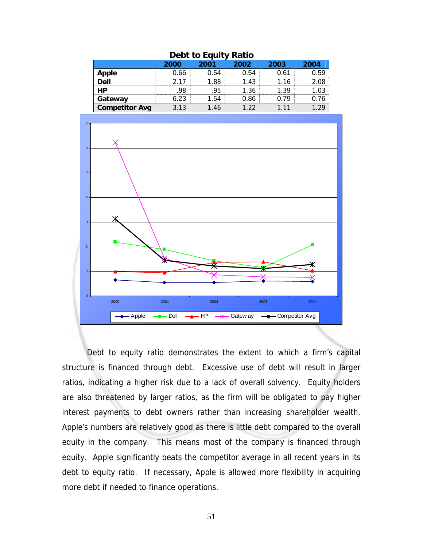| DEDI IU LYUIIV RAIIU  |      |      |      |      |      |  |
|-----------------------|------|------|------|------|------|--|
|                       | 2000 | 2001 | 2002 | 2003 | 2004 |  |
| <b>Apple</b>          | 0.66 | 0.54 | 0.54 | 0.61 | 0.59 |  |
| <b>Dell</b>           | 2 17 | 1.88 | 1.43 | 1.16 | 2.08 |  |
| <b>HP</b>             | 98   | .95  | 1.36 | 1.39 | 1.03 |  |
| Gateway               | 6.23 | 1.54 | 0.86 | 0.79 | 0.76 |  |
| <b>Competitor Avg</b> | 3.13 | l.46 | 1 22 | 111  | 1.29 |  |





 Debt to equity ratio demonstrates the extent to which a firm's capital structure is financed through debt. Excessive use of debt will result in larger ratios, indicating a higher risk due to a lack of overall solvency. Equity holders are also threatened by larger ratios, as the firm will be obligated to pay higher interest payments to debt owners rather than increasing shareholder wealth. Apple's numbers are relatively good as there is little debt compared to the overall equity in the company. This means most of the company is financed through equity. Apple significantly beats the competitor average in all recent years in its debt to equity ratio. If necessary, Apple is allowed more flexibility in acquiring more debt if needed to finance operations.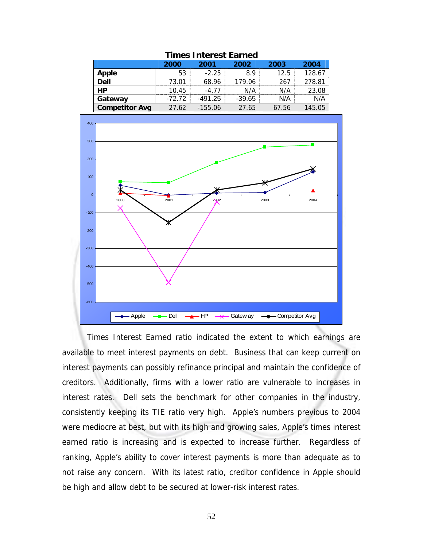| Times Interest Earned |          |           |          |       |        |  |
|-----------------------|----------|-----------|----------|-------|--------|--|
|                       | 2000     | 2001      | 2002     | 2003  | 2004   |  |
| Apple                 | 53       | $-2.25$   | 89       | 12.5  | 128.67 |  |
| <b>Dell</b>           | 73.01    | 68.96     | 179.06   | 267   | 278.81 |  |
| НP                    | 10.45    | $-4.77$   | N/A      | N/A   | 23.08  |  |
| Gateway               | $-72.72$ | -491.25   | $-39.65$ | N/A   | N/A    |  |
| <b>Competitor Avg</b> | 27.62    | $-155.06$ | 27.65    | 67.56 | 145.05 |  |





Times Interest Earned ratio indicated the extent to which earnings are available to meet interest payments on debt. Business that can keep current on interest payments can possibly refinance principal and maintain the confidence of creditors. Additionally, firms with a lower ratio are vulnerable to increases in interest rates. Dell sets the benchmark for other companies in the industry, consistently keeping its TIE ratio very high. Apple's numbers previous to 2004 were mediocre at best, but with its high and growing sales, Apple's times interest earned ratio is increasing and is expected to increase further. Regardless of ranking, Apple's ability to cover interest payments is more than adequate as to not raise any concern. With its latest ratio, creditor confidence in Apple should be high and allow debt to be secured at lower-risk interest rates.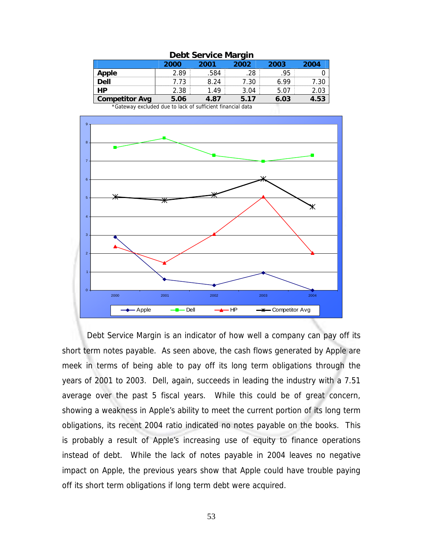| Dept service margin                  |      |      |      |      |      |  |
|--------------------------------------|------|------|------|------|------|--|
| 2003<br>2004<br>2002<br>2000<br>2001 |      |      |      |      |      |  |
|                                      | 2.89 | .584 | .28  | .95  |      |  |
| <b>Apple</b><br>Dell                 | 7.73 | 8.24 | 7.30 | 6.99 | 7.30 |  |
| HP                                   | 2.38 | 1.49 | 3.04 | 5.07 | 2.03 |  |
| <b>Competitor Avg</b>                | 5.06 | 4.87 | 5.17 | 6.03 | 4.53 |  |

# **Debt Service Margin**

\*Gateway excluded due to lack of sufficient financial data



 Debt Service Margin is an indicator of how well a company can pay off its short term notes payable. As seen above, the cash flows generated by Apple are meek in terms of being able to pay off its long term obligations through the years of 2001 to 2003. Dell, again, succeeds in leading the industry with a 7.51 average over the past 5 fiscal years. While this could be of great concern, showing a weakness in Apple's ability to meet the current portion of its long term obligations, its recent 2004 ratio indicated no notes payable on the books. This is probably a result of Apple's increasing use of equity to finance operations instead of debt. While the lack of notes payable in 2004 leaves no negative impact on Apple, the previous years show that Apple could have trouble paying off its short term obligations if long term debt were acquired.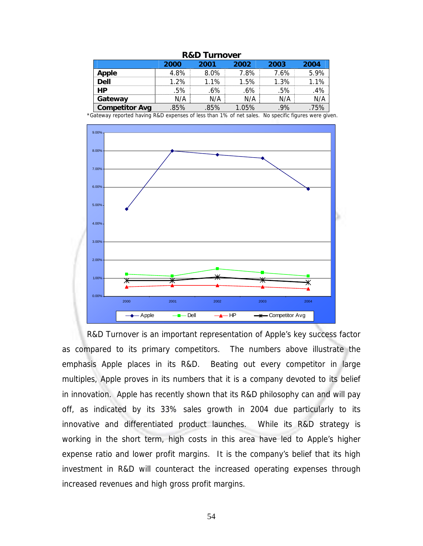| R&D Turnover          |      |         |       |      |      |  |  |
|-----------------------|------|---------|-------|------|------|--|--|
|                       | 2000 | 2001    | 2002  | 2003 | 2004 |  |  |
| Apple                 | 4.8% | $8.0\%$ | 7.8%  | 7.6% | 5.9% |  |  |
| <b>Dell</b>           | 1.2% | 1.1%    | 1.5%  | 1.3% | 1.1% |  |  |
| <b>HP</b>             | .5%  | .6%     | .6%   | .5%  | .4%  |  |  |
| Gateway               | N/A  | N/A     | N/A   | N/A  | N/A  |  |  |
| <b>Competitor Avg</b> | .85% | .85%    | 1.05% | .9%  | .75% |  |  |

### **R&D Turnover**

\*Gateway reported having R&D expenses of less than 1% of net sales. No specific figures were given.



R&D Turnover is an important representation of Apple's key success factor as compared to its primary competitors. The numbers above illustrate the emphasis Apple places in its R&D. Beating out every competitor in large multiples, Apple proves in its numbers that it is a company devoted to its belief in innovation. Apple has recently shown that its R&D philosophy can and will pay off, as indicated by its 33% sales growth in 2004 due particularly to its innovative and differentiated product launches. While its R&D strategy is working in the short term, high costs in this area have led to Apple's higher expense ratio and lower profit margins. It is the company's belief that its high investment in R&D will counteract the increased operating expenses through increased revenues and high gross profit margins.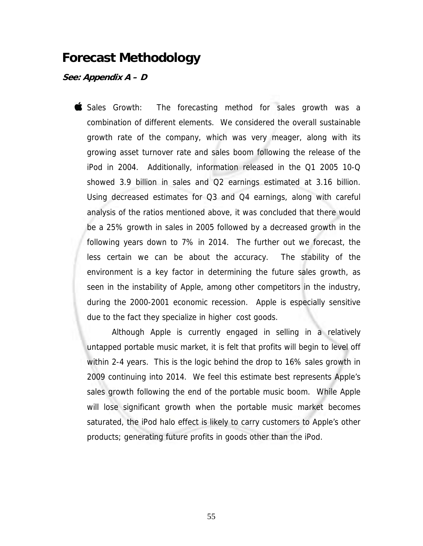# **Forecast Methodology**

## **See: Appendix A – D**

Sales Growth: The forecasting method for sales growth was a combination of different elements. We considered the overall sustainable growth rate of the company, which was very meager, along with its growing asset turnover rate and sales boom following the release of the iPod in 2004. Additionally, information released in the Q1 2005 10-Q showed 3.9 billion in sales and Q2 earnings estimated at 3.16 billion. Using decreased estimates for Q3 and Q4 earnings, along with careful analysis of the ratios mentioned above, it was concluded that there would be a 25% growth in sales in 2005 followed by a decreased growth in the following years down to 7% in 2014. The further out we forecast, the less certain we can be about the accuracy. The stability of the environment is a key factor in determining the future sales growth, as seen in the instability of Apple, among other competitors in the industry, during the 2000-2001 economic recession. Apple is especially sensitive due to the fact they specialize in higher cost goods.

 Although Apple is currently engaged in selling in a relatively untapped portable music market, it is felt that profits will begin to level off within 2-4 years. This is the logic behind the drop to 16% sales growth in 2009 continuing into 2014. We feel this estimate best represents Apple's sales growth following the end of the portable music boom. While Apple will lose significant growth when the portable music market becomes saturated, the iPod halo effect is likely to carry customers to Apple's other products; generating future profits in goods other than the iPod.

55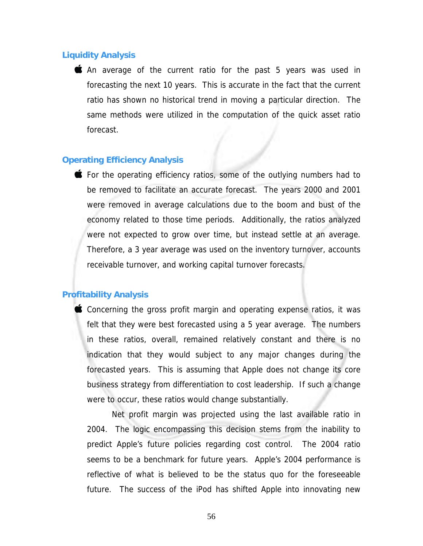## **Liquidity Analysis**

An average of the current ratio for the past 5 years was used in forecasting the next 10 years. This is accurate in the fact that the current ratio has shown no historical trend in moving a particular direction. The same methods were utilized in the computation of the quick asset ratio forecast.

## **Operating Efficiency Analysis**

**For the operating efficiency ratios, some of the outlying numbers had to** be removed to facilitate an accurate forecast. The years 2000 and 2001 were removed in average calculations due to the boom and bust of the economy related to those time periods. Additionally, the ratios analyzed were not expected to grow over time, but instead settle at an average. Therefore, a 3 year average was used on the inventory turnover, accounts receivable turnover, and working capital turnover forecasts.

## **Profitability Analysis**

Concerning the gross profit margin and operating expense ratios, it was felt that they were best forecasted using a 5 year average. The numbers in these ratios, overall, remained relatively constant and there is no indication that they would subject to any major changes during the forecasted years. This is assuming that Apple does not change its core business strategy from differentiation to cost leadership. If such a change were to occur, these ratios would change substantially.

 Net profit margin was projected using the last available ratio in 2004. The logic encompassing this decision stems from the inability to predict Apple's future policies regarding cost control. The 2004 ratio seems to be a benchmark for future years. Apple's 2004 performance is reflective of what is believed to be the status quo for the foreseeable future. The success of the iPod has shifted Apple into innovating new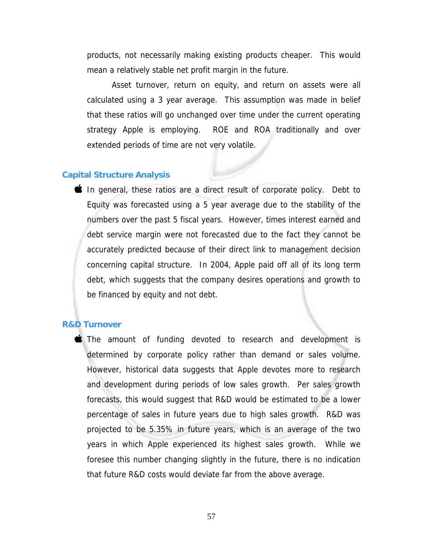products, not necessarily making existing products cheaper. This would mean a relatively stable net profit margin in the future.

 Asset turnover, return on equity, and return on assets were all calculated using a 3 year average. This assumption was made in belief that these ratios will go unchanged over time under the current operating strategy Apple is employing. ROE and ROA traditionally and over extended periods of time are not very volatile.

## **Capital Structure Analysis**

In general, these ratios are a direct result of corporate policy. Debt to Equity was forecasted using a 5 year average due to the stability of the numbers over the past 5 fiscal years. However, times interest earned and debt service margin were not forecasted due to the fact they cannot be accurately predicted because of their direct link to management decision concerning capital structure. In 2004, Apple paid off all of its long term debt, which suggests that the company desires operations and growth to be financed by equity and not debt.

#### **R&D Turnover**

The amount of funding devoted to research and development is determined by corporate policy rather than demand or sales volume. However, historical data suggests that Apple devotes more to research and development during periods of low sales growth. Per sales growth forecasts, this would suggest that R&D would be estimated to be a lower percentage of sales in future years due to high sales growth. R&D was projected to be 5.35% in future years, which is an average of the two years in which Apple experienced its highest sales growth. While we foresee this number changing slightly in the future, there is no indication that future R&D costs would deviate far from the above average.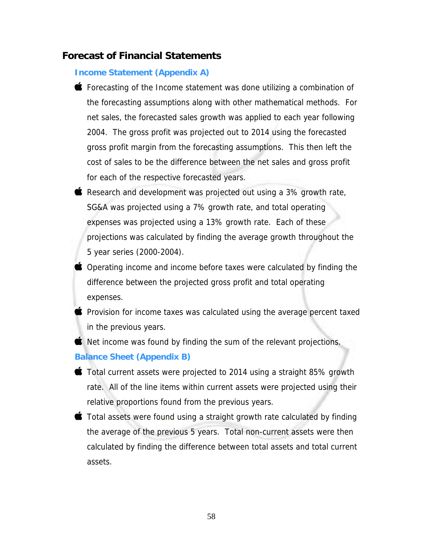# **Forecast of Financial Statements**

## **Income Statement (Appendix A)**

- Forecasting of the Income statement was done utilizing a combination of the forecasting assumptions along with other mathematical methods. For net sales, the forecasted sales growth was applied to each year following 2004. The gross profit was projected out to 2014 using the forecasted gross profit margin from the forecasting assumptions. This then left the cost of sales to be the difference between the net sales and gross profit for each of the respective forecasted years.
- Research and development was projected out using a 3% growth rate, SG&A was projected using a 7% growth rate, and total operating expenses was projected using a 13% growth rate. Each of these projections was calculated by finding the average growth throughout the 5 year series (2000-2004).
- Operating income and income before taxes were calculated by finding the difference between the projected gross profit and total operating expenses.
- **Provision for income taxes was calculated using the average percent taxed** in the previous years.

Net income was found by finding the sum of the relevant projections. **Balance Sheet (Appendix B)** 

- $\bullet$  Total current assets were projected to 2014 using a straight 85% growth rate. All of the line items within current assets were projected using their relative proportions found from the previous years.
- $\bullet$  Total assets were found using a straight growth rate calculated by finding the average of the previous 5 years. Total non-current assets were then calculated by finding the difference between total assets and total current assets.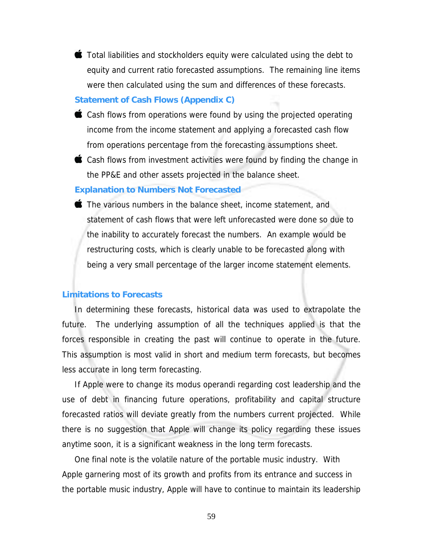$\bullet$  Total liabilities and stockholders equity were calculated using the debt to equity and current ratio forecasted assumptions. The remaining line items were then calculated using the sum and differences of these forecasts.

#### **Statement of Cash Flows (Appendix C)**

- Cash flows from operations were found by using the projected operating income from the income statement and applying a forecasted cash flow from operations percentage from the forecasting assumptions sheet.
- Cash flows from investment activities were found by finding the change in the PP&E and other assets projected in the balance sheet.

### **Explanation to Numbers Not Forecasted**

The various numbers in the balance sheet, income statement, and statement of cash flows that were left unforecasted were done so due to the inability to accurately forecast the numbers. An example would be restructuring costs, which is clearly unable to be forecasted along with being a very small percentage of the larger income statement elements.

#### **Limitations to Forecasts**

In determining these forecasts, historical data was used to extrapolate the future. The underlying assumption of all the techniques applied is that the forces responsible in creating the past will continue to operate in the future. This assumption is most valid in short and medium term forecasts, but becomes less accurate in long term forecasting.

If Apple were to change its modus operandi regarding cost leadership and the use of debt in financing future operations, profitability and capital structure forecasted ratios will deviate greatly from the numbers current projected. While there is no suggestion that Apple will change its policy regarding these issues anytime soon, it is a significant weakness in the long term forecasts.

One final note is the volatile nature of the portable music industry. With Apple garnering most of its growth and profits from its entrance and success in the portable music industry, Apple will have to continue to maintain its leadership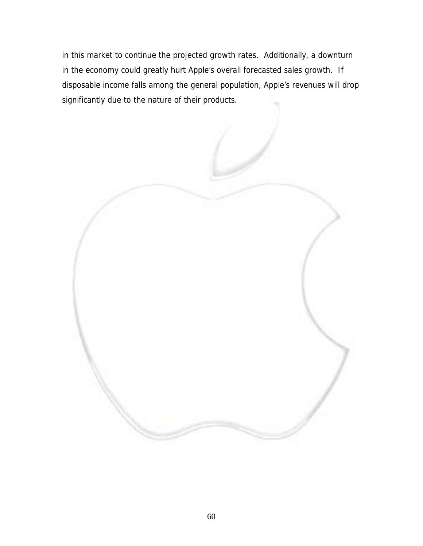in this market to continue the projected growth rates. Additionally, a downturn in the economy could greatly hurt Apple's overall forecasted sales growth. If disposable income falls among the general population, Apple's revenues will drop significantly due to the nature of their products.

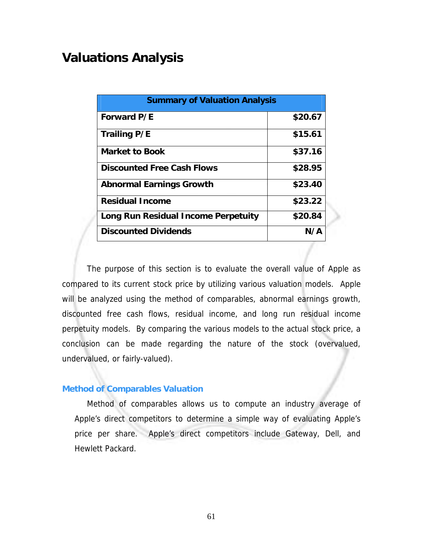# **Valuations Analysis**

| <b>Summary of Valuation Analysis</b> |         |
|--------------------------------------|---------|
| Forward P/E                          | \$20.67 |
| <b>Trailing P/E</b>                  | \$15.61 |
| <b>Market to Book</b>                | \$37.16 |
| <b>Discounted Free Cash Flows</b>    | \$28.95 |
| <b>Abnormal Earnings Growth</b>      | \$23.40 |
| <b>Residual Income</b>               | \$23.22 |
| Long Run Residual Income Perpetuity  | \$20.84 |
| <b>Discounted Dividends</b>          | N/A     |

The purpose of this section is to evaluate the overall value of Apple as compared to its current stock price by utilizing various valuation models. Apple will be analyzed using the method of comparables, abnormal earnings growth, discounted free cash flows, residual income, and long run residual income perpetuity models. By comparing the various models to the actual stock price, a conclusion can be made regarding the nature of the stock (overvalued, undervalued, or fairly-valued).

# **Method of Comparables Valuation**

 Method of comparables allows us to compute an industry average of Apple's direct competitors to determine a simple way of evaluating Apple's price per share. Apple's direct competitors include Gateway, Dell, and Hewlett Packard.

61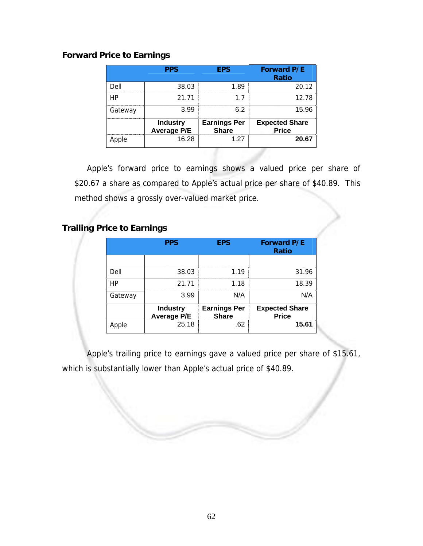# **Forward Price to Earnings**

|         | <b>PPS</b>                            | <b>EPS</b>                          | <b>Forward P/E</b><br><b>Ratio</b>    |
|---------|---------------------------------------|-------------------------------------|---------------------------------------|
| Dell    | 38.03                                 | 1.89                                | 20.12                                 |
|         | 21.71                                 | 17                                  | 12.78                                 |
| Gateway | 3.99                                  | 62                                  | 15.96                                 |
|         | <b>Industry</b><br><b>Average P/E</b> | <b>Earnings Per</b><br><b>Share</b> | <b>Expected Share</b><br><b>Price</b> |
|         | 16.28                                 | 1.27                                | 20.67                                 |

Apple's forward price to earnings shows a valued price per share of \$20.67 a share as compared to Apple's actual price per share of \$40.89. This method shows a grossly over-valued market price.

# **Trailing Price to Earnings**

|         | <b>PPS</b>                            | <b>EPS</b>                          | <b>Forward P/E</b><br><b>Ratio</b>    |
|---------|---------------------------------------|-------------------------------------|---------------------------------------|
|         |                                       |                                     |                                       |
| Dell    | 38.03                                 | 1 1 9                               | 31.96                                 |
| HP      | 21.71                                 | 1.18                                | 18.39                                 |
| Gateway | 3.99                                  | N/A                                 | N/A                                   |
|         | <b>Industry</b><br><b>Average P/E</b> | <b>Earnings Per</b><br><b>Share</b> | <b>Expected Share</b><br><b>Price</b> |
| Apple   | 25.18                                 | .62                                 | 15.61                                 |

Apple's trailing price to earnings gave a valued price per share of \$15.61, which is substantially lower than Apple's actual price of \$40.89.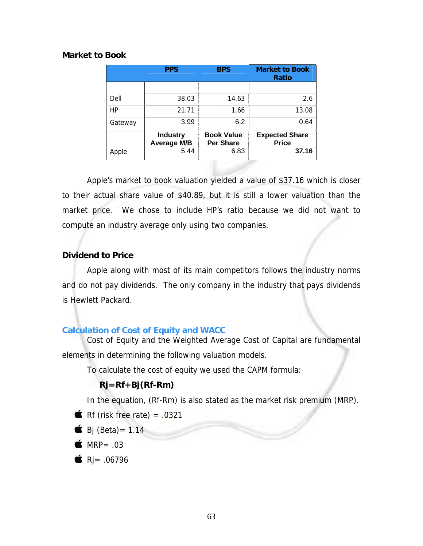# **Market to Book**

|         | <b>PPS</b>                            | <b>BPS</b>                            | <b>Market to Book</b><br><b>Ratio</b> |
|---------|---------------------------------------|---------------------------------------|---------------------------------------|
|         |                                       |                                       |                                       |
| Dell    | 38.03                                 | 14.63                                 | 2.6                                   |
| HP      | 21.71                                 | 1.66                                  | 13.08                                 |
| Gateway | 3.99                                  | 6.2                                   | 0.64                                  |
|         | <b>Industry</b><br><b>Average M/B</b> | <b>Book Value</b><br><b>Per Share</b> | <b>Expected Share</b><br><b>Price</b> |
| Apple   | 5.44                                  | 6.83                                  | 37.16                                 |

Apple's market to book valuation yielded a value of \$37.16 which is closer to their actual share value of \$40.89, but it is still a lower valuation than the market price. We chose to include HP's ratio because we did not want to compute an industry average only using two companies.

# **Dividend to Price**

Apple along with most of its main competitors follows the industry norms and do not pay dividends. The only company in the industry that pays dividends is Hewlett Packard.

# **Calculation of Cost of Equity and WACC**

Cost of Equity and the Weighted Average Cost of Capital are fundamental elements in determining the following valuation models.

To calculate the cost of equity we used the CAPM formula:

# **Rj=Rf+Bj(Rf-Rm)**

In the equation, (Rf-Rm) is also stated as the market risk premium (MRP).

- Rf (risk free rate) =  $.0321$
- $\bullet$  Bj (Beta) = 1.14

 $\bullet$  MRP= .03

 $\bullet$  Ri= .06796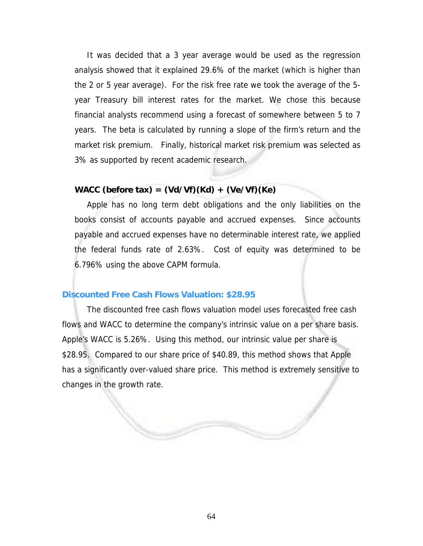It was decided that a 3 year average would be used as the regression analysis showed that it explained 29.6% of the market (which is higher than the 2 or 5 year average). For the risk free rate we took the average of the 5 year Treasury bill interest rates for the market. We chose this because financial analysts recommend using a forecast of somewhere between 5 to 7 years. The beta is calculated by running a slope of the firm's return and the market risk premium. Finally, historical market risk premium was selected as 3% as supported by recent academic research.

# **WACC (before tax) = (Vd/Vf)(Kd) + (Ve/Vf)(Ke)**

Apple has no long term debt obligations and the only liabilities on the books consist of accounts payable and accrued expenses. Since accounts payable and accrued expenses have no determinable interest rate, we applied the federal funds rate of 2.63%. Cost of equity was determined to be 6.796% using the above CAPM formula.

#### **Discounted Free Cash Flows Valuation: \$28.95**

The discounted free cash flows valuation model uses forecasted free cash flows and WACC to determine the company's intrinsic value on a per share basis. Apple's WACC is 5.26%. Using this method, our intrinsic value per share is \$28.95. Compared to our share price of \$40.89, this method shows that Apple has a significantly over-valued share price. This method is extremely sensitive to changes in the growth rate.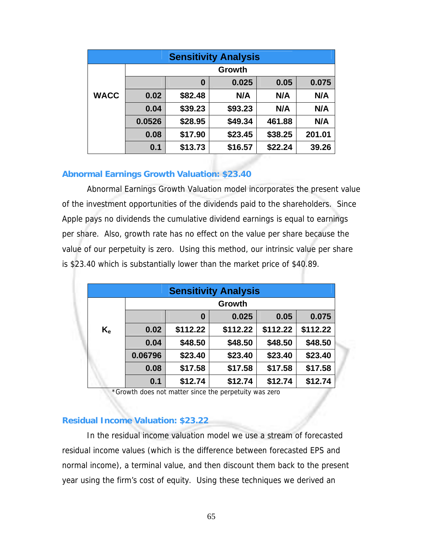| <b>Sensitivity Analysis</b> |        |         |         |         |        |  |
|-----------------------------|--------|---------|---------|---------|--------|--|
|                             | Growth |         |         |         |        |  |
|                             |        | 0       | 0.025   | 0.05    | 0.075  |  |
| <b>WACC</b>                 | 0.02   | \$82.48 | N/A     | N/A     | N/A    |  |
|                             | 0.04   | \$39.23 | \$93.23 | N/A     | N/A    |  |
|                             | 0.0526 | \$28.95 | \$49.34 | 461.88  | N/A    |  |
|                             | 0.08   | \$17.90 | \$23.45 | \$38.25 | 201.01 |  |
|                             | 0.1    | \$13.73 | \$16.57 | \$22.24 | 39.26  |  |

# **Abnormal Earnings Growth Valuation: \$23.40**

Abnormal Earnings Growth Valuation model incorporates the present value of the investment opportunities of the dividends paid to the shareholders. Since Apple pays no dividends the cumulative dividend earnings is equal to earnings per share. Also, growth rate has no effect on the value per share because the value of our perpetuity is zero. Using this method, our intrinsic value per share is \$23.40 which is substantially lower than the market price of \$40.89.

| <b>Sensitivity Analysis</b> |         |          |          |          |          |  |
|-----------------------------|---------|----------|----------|----------|----------|--|
|                             | Growth  |          |          |          |          |  |
|                             |         | 0        | 0.025    | 0.05     | 0.075    |  |
| $K_{\rm e}$                 | 0.02    | \$112.22 | \$112.22 | \$112.22 | \$112.22 |  |
|                             | 0.04    | \$48.50  | \$48.50  | \$48.50  | \$48.50  |  |
|                             | 0.06796 | \$23.40  | \$23.40  | \$23.40  | \$23.40  |  |
|                             | 0.08    | \$17.58  | \$17.58  | \$17.58  | \$17.58  |  |
|                             | 0.1     | \$12.74  | \$12.74  | \$12.74  | \$12.74  |  |

\*Growth does not matter since the perpetuity was zero

# **Residual Income Valuation: \$23.22**

In the residual income valuation model we use a stream of forecasted residual income values (which is the difference between forecasted EPS and normal income), a terminal value, and then discount them back to the present year using the firm's cost of equity. Using these techniques we derived an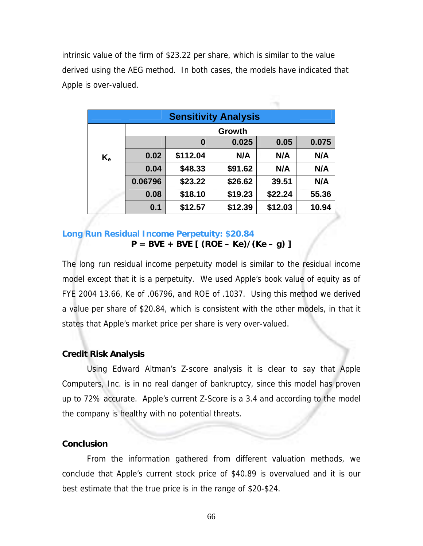intrinsic value of the firm of \$23.22 per share, which is similar to the value derived using the AEG method. In both cases, the models have indicated that Apple is over-valued.

| <b>Sensitivity Analysis</b> |         |          |         |         |       |  |  |
|-----------------------------|---------|----------|---------|---------|-------|--|--|
|                             | Growth  |          |         |         |       |  |  |
|                             |         | 0        | 0.025   | 0.05    | 0.075 |  |  |
| $K_{\rm e}$                 | 0.02    | \$112.04 | N/A     | N/A     | N/A   |  |  |
|                             | 0.04    | \$48.33  | \$91.62 | N/A     | N/A   |  |  |
|                             | 0.06796 | \$23.22  | \$26.62 | 39.51   | N/A   |  |  |
|                             | 0.08    | \$18.10  | \$19.23 | \$22.24 | 55.36 |  |  |
|                             | 0.1     | \$12.57  | \$12.39 | \$12.03 | 10.94 |  |  |

# **Long Run Residual Income Perpetuity: \$20.84 P = BVE + BVE [ (ROE – Ke)/(Ke – g) ]**

The long run residual income perpetuity model is similar to the residual income model except that it is a perpetuity. We used Apple's book value of equity as of FYE 2004 13.66, Ke of .06796, and ROE of .1037. Using this method we derived a value per share of \$20.84, which is consistent with the other models, in that it states that Apple's market price per share is very over-valued.

## **Credit Risk Analysis**

Using Edward Altman's Z-score analysis it is clear to say that Apple Computers, Inc. is in no real danger of bankruptcy, since this model has proven up to 72% accurate. Apple's current Z-Score is a 3.4 and according to the model the company is healthy with no potential threats.

## **Conclusion**

From the information gathered from different valuation methods, we conclude that Apple's current stock price of \$40.89 is overvalued and it is our best estimate that the true price is in the range of \$20-\$24.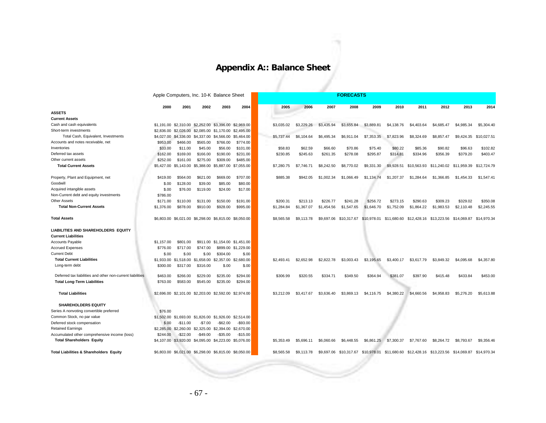# **Appendix A:: Balance Sheet**

|                                                            |            | Apple Computers, Inc. 10-K Balance Sheet |                                                        |                                  |                     |            | <b>FORECASTS</b> |            |             |                         |             |            |                         |                                                 |             |
|------------------------------------------------------------|------------|------------------------------------------|--------------------------------------------------------|----------------------------------|---------------------|------------|------------------|------------|-------------|-------------------------|-------------|------------|-------------------------|-------------------------------------------------|-------------|
|                                                            | 2000       | 2001                                     | 2002                                                   | 2003                             | 2004                | 2005       | 2006             | 2007       | 2008        | 2009                    | 2010        | 2011       | 2012                    | 2013                                            | 2014        |
| <b>ASSETS</b>                                              |            |                                          |                                                        |                                  |                     |            |                  |            |             |                         |             |            |                         |                                                 |             |
| <b>Current Assets</b>                                      |            |                                          |                                                        |                                  |                     |            |                  |            |             |                         |             |            |                         |                                                 |             |
| Cash and cash equivalents                                  |            |                                          | \$1,191.00 \$2,310.00 \$2,252.00 \$3,396.00 \$2,969.00 |                                  |                     | \$3,035.02 | \$3,229.26       | \$3,435.94 | \$3,655.84  | \$3,889.81              | \$4,138.76  | \$4,403.64 | \$4,685.47              | \$4,985.34                                      | \$5,304.40  |
| Short-term investments                                     | \$2,836,00 | \$2,026,00                               |                                                        | \$2,085,00 \$1,170,00            | \$2,495.00          |            |                  |            |             |                         |             |            |                         |                                                 |             |
| Total Cash, Equivalent, Investments                        | \$4,027.00 | \$4,336.00                               | \$4,337,00 \$4,566,00                                  |                                  | \$5,464.00          | \$5,737.44 | \$6,104.64       | \$6,495.34 | \$6.911.04  | \$7,353.35              | \$7,823.96  | \$8,324.69 | \$8,857.47              | \$9,424.35                                      | \$10,027.51 |
| Accounts and notes receivable, net                         | \$953.00   | \$466.00                                 | \$565.00                                               | \$766.00                         | \$774.00            |            |                  |            |             |                         |             |            |                         |                                                 |             |
| Inventories                                                | \$33.00    | \$11.00                                  | \$45.00                                                | \$56.00                          | \$101.00            | \$58.83    | \$62.59          | \$66.60    | \$70.86     | \$75.40                 | \$80.22     | \$85.36    | \$90.82                 | \$96.63                                         | \$102.82    |
| Deferred tax assets                                        | \$162.00   | \$169.00                                 | \$166.00                                               | \$190.00                         | \$231.00            | \$230.85   | \$245.63         | \$261.35   | \$278.08    | \$295.87                | \$314.81    | \$334.96   | \$356.39                | \$379.20                                        | \$403.47    |
| Other current assets                                       | \$252.00   | \$161.00                                 | \$275.00                                               | \$309.00                         | \$485.00            |            |                  |            |             |                         |             |            |                         |                                                 |             |
| <b>Total Current Assets</b>                                |            |                                          | \$5,427.00 \$5,143.00 \$5,388.00 \$5,887.00 \$7,055.00 |                                  |                     | \$7,280.75 | \$7,746.71       | \$8,242.50 | \$8,770.02  | \$9,331.30              | \$9,928.51  |            |                         | \$10.563.93 \$11.240.02 \$11.959.39 \$12.724.79 |             |
| Property, Plant and Equipment, net                         | \$419.00   | \$564.00                                 | \$621.00                                               | \$669.00                         | \$707.00            | \$885.38   | \$942.05         | \$1,002.34 | \$1.066.49  | \$1,134,74              | \$1,207.37  | \$1,284.64 | \$1,366.85              | \$1,454.33                                      | \$1,547.41  |
| Goodwill                                                   | \$.00      | \$128.00                                 | \$39.00                                                | \$85.00                          | \$80.00             |            |                  |            |             |                         |             |            |                         |                                                 |             |
| Acquired intangible assets                                 | \$.00      | \$76.00                                  | \$119.00                                               | \$24.00                          | \$17.00             |            |                  |            |             |                         |             |            |                         |                                                 |             |
| Non-Current debt and equity investments                    | \$786.00   |                                          |                                                        |                                  |                     |            |                  |            |             |                         |             |            |                         |                                                 |             |
| <b>Other Assets</b>                                        | \$171.00   | \$110.00                                 | \$131.00                                               | \$150.00                         | \$191.00            | \$200.31   | \$213.13         | \$226.77   | \$241.28    | \$256.72                | \$273.15    | \$290.63   | \$309.23                | \$329.02                                        | \$350.08    |
| <b>Total Non-Current Assets</b>                            | \$1,376.00 | \$878.00                                 | \$910.00                                               | \$928.00                         | \$995.00            | \$1,284.84 | \$1,367.07       | \$1,454.56 | \$1,547.65  | \$1,646.70              | \$1,752.09  | \$1,864.22 | \$1,983.53              | \$2,110.48                                      | \$2,245.55  |
| <b>Total Assets</b>                                        |            |                                          | \$6,803.00 \$6,021.00 \$6,298.00 \$6,815.00 \$8,050.00 |                                  |                     | \$8,565.58 | \$9,113.78       | \$9,697.06 | \$10,317.67 | \$10,978.01             | \$11,680.60 |            | \$12,428.16 \$13,223.56 | \$14,069.87                                     | \$14,970.34 |
| <b>LIABILITIES AND SHAREHOLDERS EQUITY</b>                 |            |                                          |                                                        |                                  |                     |            |                  |            |             |                         |             |            |                         |                                                 |             |
| <b>Current Liabilities</b>                                 |            |                                          |                                                        |                                  |                     |            |                  |            |             |                         |             |            |                         |                                                 |             |
| Accounts Payable                                           | \$1,157.00 | \$801.00                                 |                                                        | \$911.00 \$1,154.00 \$1,451.00   |                     |            |                  |            |             |                         |             |            |                         |                                                 |             |
| <b>Accrued Expenses</b>                                    | \$776.00   | \$717.00                                 | \$747.00                                               |                                  | \$899.00 \$1,229.00 |            |                  |            |             |                         |             |            |                         |                                                 |             |
| <b>Current Debt</b>                                        | \$.00      | \$.00                                    | \$.00                                                  | \$304.00                         | \$.00               |            |                  |            |             |                         |             |            |                         |                                                 |             |
| <b>Total Current Liabilities</b>                           | \$1,933.00 | \$1,518.00                               |                                                        | \$1,658.00 \$2,357.00 \$2,680.00 |                     | \$2,493.41 | \$2,652.98       | \$2,822.78 | \$3,003.43  | \$3,195.65              | \$3,400.17  | \$3,617.79 | \$3,849.32              | \$4,095.68                                      | \$4,357.80  |
| Long-term debt                                             | \$300.00   | \$317.00                                 | \$316.00                                               | \$.00                            | \$.00               |            |                  |            |             |                         |             |            |                         |                                                 |             |
| Deferred tax liabilities and other non-current liabilities | \$463.00   | \$266.00                                 | \$229.00                                               | \$235.00                         | \$294.00            | \$306.99   | \$320.55         | \$334.71   | \$349.50    | \$364.94                | \$381.07    | \$397.90   | \$415.48                | \$433.84                                        | \$453.00    |
| <b>Total Long-Term Liabilities</b>                         | \$763.00   | \$583.00                                 | \$545.00                                               | \$235.00                         | \$294.00            |            |                  |            |             |                         |             |            |                         |                                                 |             |
| <b>Total Liabilities</b>                                   |            |                                          | \$2,696.00 \$2,101.00 \$2,203.00 \$2,592.00 \$2,974.00 |                                  |                     | \$3,212.09 | \$3,417.67       | \$3,636.40 | \$3,869.13  | \$4,116,75              | \$4,380.22  | \$4,660.56 | \$4,958.83              | \$5,276.20                                      | \$5,613.88  |
| <b>SHAREHOLDERS EQUITY</b>                                 |            |                                          |                                                        |                                  |                     |            |                  |            |             |                         |             |            |                         |                                                 |             |
| Series A nonvoting convertible preferred                   | \$76.00    |                                          |                                                        |                                  |                     |            |                  |            |             |                         |             |            |                         |                                                 |             |
| Common Stock, no par value                                 | \$1,502.00 | \$1,693.00                               |                                                        | \$1,826.00 \$1,926.00 \$2,514.00 |                     |            |                  |            |             |                         |             |            |                         |                                                 |             |
| Deferred stock compensation                                | \$.00      | $-$11.00$                                | $-$7.00$                                               | $-$ \$62.00                      | $-$93.00$           |            |                  |            |             |                         |             |            |                         |                                                 |             |
| <b>Retained Earnings</b>                                   |            | \$2,285.00 \$2,260.00                    |                                                        | \$2,325.00 \$2,394.00 \$2,670.00 |                     |            |                  |            |             |                         |             |            |                         |                                                 |             |
| Accumulated other comprehensive income (loss)              | \$244.00   | $-$22.00$                                | $-$49.00$                                              | $-$35.00$                        | $-$15.00$           |            |                  |            |             |                         |             |            |                         |                                                 |             |
| <b>Total Shareholders Equity</b>                           |            |                                          | \$4,107.00 \$3,920.00 \$4,095.00 \$4,223.00 \$5,076.00 |                                  |                     | \$5,353.49 | \$5,696.11       | \$6,060.66 | \$6,448.55  | \$6,861.25              | \$7,300.37  | \$7,767.60 | \$8,264.72              | \$8,793.67                                      | \$9,356.46  |
| <b>Total Liabilities &amp; Shareholders Equity</b>         |            |                                          | \$6,803.00 \$6,021.00 \$6,298.00 \$6,815.00 \$8,050.00 |                                  |                     | \$8,565.58 | \$9,113.78       | \$9,697.06 | \$10,317.67 | \$10,978.01 \$11,680.60 |             |            | \$12,428.16 \$13,223.56 | \$14.069.87                                     | \$14,970.34 |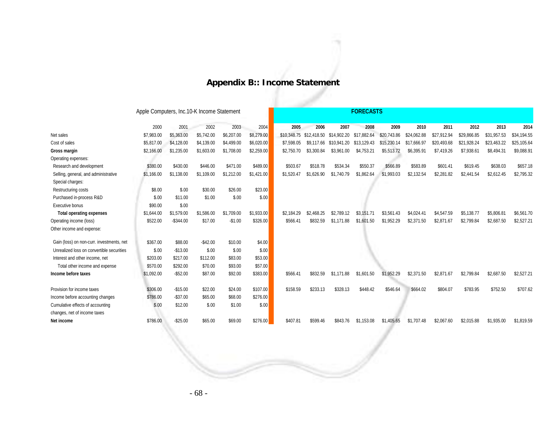# **Appendix B:: Income Statement**

Apple Computers, Inc.10-K Income Statement **FORECASTS** 

|                                           | 2000       | 2001       | 2002       | 2003       | 2004       | 2005       | 2006                    | 2007        | 2008        | 2009        | 2010        | 2011        | 2012        | 2013        | 2014        |
|-------------------------------------------|------------|------------|------------|------------|------------|------------|-------------------------|-------------|-------------|-------------|-------------|-------------|-------------|-------------|-------------|
| Net sales                                 | \$7,983.00 | \$5,363.00 | \$5,742.00 | \$6,207.00 | \$8,279.00 |            | \$10.348.75 \$12.418.50 | \$14,902.20 | \$17.882.64 | \$20,743.86 | \$24.062.88 | \$27.912.94 | \$29,866.85 | \$31,957.53 | \$34.194.55 |
| Cost of sales                             | \$5,817.00 | \$4,128.00 | \$4,139.00 | \$4,499.00 | \$6,020.00 | \$7.598.05 | \$9.117.66              | \$10,941.20 | \$13,129.43 | \$15,230.14 | \$17,666.97 | \$20,493.68 | \$21,928.24 | \$23,463.22 | \$25,105.64 |
| Gross margin                              | \$2,166.00 | \$1,235.00 | \$1,603.00 | \$1,708.00 | \$2,259.00 | \$2.750.70 | \$3.300.84              | \$3.961.00  | \$4.753.21  | \$5,513.72  | \$6,395.91  | \$7,419.26  | \$7,938.61  | \$8,494.31  | \$9,088.91  |
| Operating expenses:                       |            |            |            |            |            |            |                         |             |             |             |             |             |             |             |             |
| Research and development                  | \$380.00   | \$430.00   | \$446.00   | \$471.00   | \$489.00   | \$503.67   | \$518.78                | \$534.34    | \$550.37    | \$566.89    | \$583.89    | \$601.41    | \$619.45    | \$638.03    | \$657.18    |
| Selling, general, and administrative      | \$1,166.00 | \$1,138.00 | \$1,109.00 | \$1,212.00 | \$1,421.00 | \$1,520.47 | \$1,626.90              | \$1,740.79  | \$1,862.64  | \$1,993.03  | \$2,132.54  | \$2,281.82  | \$2,441.54  | \$2,612.45  | \$2,795.32  |
| Special charges:                          |            |            |            |            |            |            |                         |             |             |             |             |             |             |             |             |
| Restructuring costs                       | \$8.00     | \$.00      | \$30.00    | \$26.00    | \$23.00    |            |                         |             |             |             |             |             |             |             |             |
| Purchased in-process R&D                  | \$.00      | \$11.00    | \$1.00     | \$.00      | \$.00      |            |                         |             |             |             |             |             |             |             |             |
| Executive bonus                           | \$90.00    | \$.00      |            |            |            |            |                         |             |             |             |             |             |             |             |             |
| <b>Total operating expenses</b>           | \$1.644.00 | \$1.579.00 | \$1.586.00 | \$1.709.00 | \$1.933.00 | \$2.184.29 | \$2.468.25              | \$2.789.12  | \$3.151.71  | \$3.561.43  | \$4.024.41  | \$4.547.59  | \$5.138.77  | \$5,806.81  | \$6.561.70  |
| Operating income (loss)                   | \$522.00   | $-$344.00$ | \$17.00    | $-$1.00$   | \$326.00   | \$566.41   | \$832.59                | \$1.171.88  | \$1,601.50  | \$1,952.29  | \$2,371.50  | \$2,871.67  | \$2,799.84  | \$2,687.50  | \$2,527.21  |
| Other income and expense:                 |            |            |            |            |            |            |                         |             |             |             |             |             |             |             |             |
| Gain (loss) on non-curr. investments, net | \$367.00   | \$88.00    | $-$42.00$  | \$10.00    | \$4.00     |            |                         |             |             |             |             |             |             |             |             |
| Unrealized loss on convertible securities | \$.00      | $-$13.00$  | \$.00      | \$.00      | \$.00      |            |                         |             |             |             |             |             |             |             |             |
| Interest and other income, net            | \$203.00   | \$217.00   | \$112.00   | \$83.00    | \$53.00    |            |                         |             |             |             |             |             |             |             |             |
| Total other income and expense            | \$570.00   | \$292.00   | \$70.00    | \$93.00    | \$57.00    |            |                         |             |             |             |             |             |             |             |             |
| Income before taxes                       | \$1,092.00 | $-$52.00$  | \$87.00    | \$92.00    | \$383.00   | \$566.41   | \$832.59                | \$1,171.88  | \$1,601.50  | \$1,952.29  | \$2,371.50  | \$2,871.67  | \$2,799.84  | \$2,687.50  | \$2,527.21  |
|                                           |            |            |            |            |            |            |                         |             |             |             |             |             |             |             |             |
| Provision for income taxes                | \$306.00   | $-$15.00$  | \$22.00    | \$24.00    | \$107.00   | \$158.59   | \$233.13                | \$328.13    | \$448.42    | \$546.64    | \$664.02    | \$804.07    | \$783.95    | \$752.50    | \$707.62    |
| Income before accounting changes          | \$786.00   | $-$37.00$  | \$65.00    | \$68.00    | \$276.00   |            |                         |             |             |             |             |             |             |             |             |
| Cumulative effects of accounting          | \$.00      | \$12.00    | \$.00      | \$1.00     | \$.00      |            |                         |             |             |             |             |             |             |             |             |
| changes, net of income taxes              |            |            |            |            |            |            |                         |             |             |             |             |             |             |             |             |
| Net income                                | \$786.00   | $-$25.00$  | \$65.00    | \$69.00    | \$276.00   | \$407.81   | \$599.46                | \$843.76    | \$1,153.08  | \$1,405.65  | \$1,707.48  | \$2,067.60  | \$2.015.88  | \$1,935.00  | \$1,819.59  |
|                                           |            |            |            |            |            |            |                         |             |             |             |             |             |             |             |             |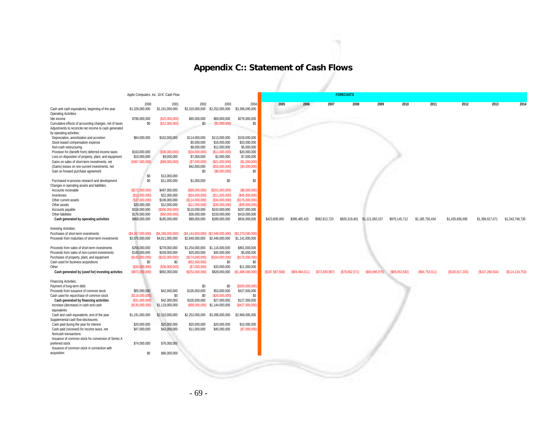# **Appendix C:: Statement of Cash Flows**

|                                                                                    |                       | Apple Computers, Inc. 10-K Cash Flow |                                  |                                     |                        |                  |                |                | <b>FORECASTS</b>              |               |                |                 |                 |                  |                 |
|------------------------------------------------------------------------------------|-----------------------|--------------------------------------|----------------------------------|-------------------------------------|------------------------|------------------|----------------|----------------|-------------------------------|---------------|----------------|-----------------|-----------------|------------------|-----------------|
|                                                                                    | 2000                  | 2001                                 | 2002                             | 2003                                | 2004                   | 2005             | 2006           | 2007           | 2008                          | 2009          | 2010           | 2011            | 2012            | 2013             | 2014            |
| Cash and cash equivalents, beginning of the year                                   | \$1,326,000,000       | \$1,191,000,000                      | \$2,310,000,000                  | \$2,252,000,000                     | \$3,396,000,000        |                  |                |                |                               |               |                |                 |                 |                  |                 |
| Operating Activities:<br>Net income                                                | \$786,000,000         | (\$25,000,000)                       | \$65,000,000                     | \$69,000,000                        | \$276,000,000          |                  |                |                |                               |               |                |                 |                 |                  |                 |
| Cumulative effects of accounting changes, net of taxes                             | \$0                   | (\$12,000,000)                       | \$0                              | (S1,000,000)                        | \$0                    |                  |                |                |                               |               |                |                 |                 |                  |                 |
| Adjustments to reconcile net income to cash generated                              |                       |                                      |                                  |                                     |                        |                  |                |                |                               |               |                |                 |                 |                  |                 |
| by operating activities:                                                           |                       |                                      |                                  |                                     |                        |                  |                |                |                               |               |                |                 |                 |                  |                 |
| Depreciation, amortization and accretion                                           | \$84,000,000          | \$102,000,000                        | \$114,000,000                    | \$113,000,000                       | \$150,000,000          |                  |                |                |                               |               |                |                 |                 |                  |                 |
| Stock-based compensation expense                                                   |                       |                                      | \$5,000,000                      | \$16,000,000                        | \$33,000,000           |                  |                |                |                               |               |                |                 |                 |                  |                 |
| Non-cash restructuring                                                             |                       |                                      | \$8,000,000                      | \$12,000,000                        | \$5,000,000            |                  |                |                |                               |               |                |                 |                 |                  |                 |
| Provision for (benefit from) deferred income taxes                                 | \$163,000,000         | (S36,000,000)                        | (S34,000,000)                    | (S11,000,000)                       | \$20,000,000           |                  |                |                |                               |               |                |                 |                 |                  |                 |
| Loss on disposition of property, plant, and equipment                              | \$10,000,000          | \$9,000,000                          | \$7,000,000                      | \$2,000,000                         | \$7,000,000            |                  |                |                |                               |               |                |                 |                 |                  |                 |
| Gains on sales of short-term investments, net                                      | (S367,000,000)        | (\$88,000,000)                       | (\$7,000,000)                    | (S21,000,000)                       | (S1,000,000)           |                  |                |                |                               |               |                |                 |                 |                  |                 |
| (Gains) losses on non-current investments, net                                     |                       |                                      | \$42,000,000                     | (S10,000,000)                       | (\$4,000,000)          |                  |                |                |                               |               |                |                 |                 |                  |                 |
| Gain on forward purchase agreement                                                 | \$0                   | \$13,000,000                         | \$0                              | (S6,000,000)                        | \$0                    |                  |                |                |                               |               |                |                 |                 |                  |                 |
| Purchased in-process research and development                                      | \$0                   | \$11,000,000                         | \$1,000,000                      | \$0                                 | \$0                    |                  |                |                |                               |               |                |                 |                 |                  |                 |
| Changes in operating assets and liabilities:                                       |                       |                                      |                                  |                                     |                        |                  |                |                |                               |               |                |                 |                 |                  |                 |
| Accounts receivable                                                                | (S272,000,000)        | \$487,000,000                        | (S99,000,000)                    | (S201,000,000)                      | (\$8,000,000)          |                  |                |                |                               |               |                |                 |                 |                  |                 |
| Inventories                                                                        | (\$13,000,000)        | \$22,000,000                         | (S34,000,000)                    | (S11,000,000)                       | (S45,000,000)          |                  |                |                |                               |               |                |                 |                 |                  |                 |
| Other current assets                                                               | (\$37,000,000)        | \$106,000,000                        | (S114,000,000)                   | (S34,000,000)                       | (S176,000,000)         |                  |                |                |                               |               |                |                 |                 |                  |                 |
| Other assets                                                                       | \$20,000,000          | \$12,000,000                         | (S11,000,000)                    | (\$30,000,000)                      | (S39,000,000)          |                  |                |                |                               |               |                |                 |                 |                  |                 |
| Accounts payable                                                                   | \$318,000,000         | (S356,000,000)                       | \$110,000,000                    | \$243,000,000                       | \$297,000,000          |                  |                |                |                               |               |                |                 |                 |                  |                 |
| Other liabilities                                                                  | \$176,000,000         | $($ \$60,000,000)                    | \$36,000,000                     | \$159,000,000                       | \$419,000,000          |                  |                |                |                               |               |                |                 |                 |                  |                 |
| Cash generated by operating activities                                             | \$868,000,000         | \$185,000,000                        | \$89,000,000                     | \$289,000,000                       | \$934,000,000          | \$423,800,000    | \$396,485,425  | \$582,812,720  | \$820,319,401 \$1,121,050,157 |               | \$976,145,712  | \$1,185,750,434 | \$1,435,836,695 | \$1,399,917,671  | \$1,343,748,730 |
| <b>Investing Activities:</b>                                                       |                       |                                      |                                  |                                     |                        |                  |                |                |                               |               |                |                 |                 |                  |                 |
| Purchases of short-term investments                                                | (\$4,267,000,000)     | (\$4,268,000,000)                    |                                  | (\$4.144.000.000) (\$2.648.000.000) | (\$3,270,000,000)      |                  |                |                |                               |               |                |                 |                 |                  |                 |
| Proceeds from maturities of short-term investments                                 | \$3,075,000,000       | \$4,811,000,000                      | \$2,846,000,000                  | \$2,446,000,000                     | \$1,141,000,000        |                  |                |                |                               |               |                |                 |                 |                  |                 |
|                                                                                    |                       |                                      |                                  |                                     |                        |                  |                |                |                               |               |                |                 |                 |                  |                 |
| Proceeds from sales of short-term investments                                      | \$256,000,000         | \$278,000,000                        |                                  | \$1,254,000,000 \$1,116,000,000     | \$801,000,000          |                  |                |                |                               |               |                |                 |                 |                  |                 |
| Proceeds from sales of non-current investments                                     | \$140,000,000         | \$339,000,000                        | \$25,000,000                     | \$45,000,000                        | \$5,000,000            |                  |                |                |                               |               |                |                 |                 |                  |                 |
| Purchases of property, plant, and equipment<br>Cash used for business acquisitions | (S142,000,000)<br>\$0 | (S232,000,000)<br>\$0                | (\$174,000,000)<br>(S52,000,000) | (S164,000,000)<br>\$0               | (\$176,000,000)<br>\$0 |                  |                |                |                               |               |                |                 |                 |                  |                 |
| Other                                                                              | (S34,000,000)         | (\$36,000,000)                       | (S7,000,000)                     | \$33,000,000                        | \$11,000,000           |                  |                |                |                               |               |                |                 |                 |                  |                 |
| Cash generated by (used for) investing activites                                   | (S972,000,000)        | \$892,000,000                        | (\$252,000,000)                  | \$828,000,000                       | (S1, 488, 000, 000)    | (S187, 687, 668) | (\$69,484,011) | (\$73,930,987) | (S78.662.571)                 | (S83.696.975) | (\$89.053.582) | (S94, 753, 011) | (\$100,817,203) | (S107, 269, 504) | (\$114,134,753) |
|                                                                                    |                       |                                      |                                  |                                     |                        |                  |                |                |                               |               |                |                 |                 |                  |                 |
| Financing Activities:<br>Payment of long-term debt                                 |                       |                                      | \$0                              | \$0                                 | (\$300,000,000)        |                  |                |                |                               |               |                |                 |                 |                  |                 |
| Proceeds from issuance of common stock                                             | \$85,000,000          | \$42,000,000                         | \$105,000,000                    | \$53,000,000                        | \$427,000,000          |                  |                |                |                               |               |                |                 |                 |                  |                 |
| Cash used for repurchase of common stock                                           | (S116,000,000)        | \$0                                  | \$0                              | (S26,000,000)                       | \$0                    |                  |                |                |                               |               |                |                 |                 |                  |                 |
| Cash generated by financing activities                                             | (S31,000,000)         | \$42,000,000                         | \$105,000,000                    | \$27,000,000                        | \$127,000,000          |                  |                |                |                               |               |                |                 |                 |                  |                 |
| Increase (decrease) in cash and cash                                               | (\$135,000,000)       | \$1,119,000,000                      | (S58,000,000)                    | \$1,144,000,000                     | (\$427,000,000)        |                  |                |                |                               |               |                |                 |                 |                  |                 |
| equivalents                                                                        |                       |                                      |                                  |                                     |                        |                  |                |                |                               |               |                |                 |                 |                  |                 |
| Cash and cash equivalents, end of the year                                         | \$1,191,000,000       | \$2,310,000,000                      | \$2,252,000,000                  | \$3,396,000,000                     | \$2,969,000,000        |                  |                |                |                               |               |                |                 |                 |                  |                 |
| Supplemental cash flow disclosures:                                                |                       |                                      |                                  |                                     |                        |                  |                |                |                               |               |                |                 |                 |                  |                 |
| Cash paid during the year for interest                                             | \$20,000,000          | \$20,000,000                         | \$20,000,000                     | \$20,000,000                        | \$10,000,000           |                  |                |                |                               |               |                |                 |                 |                  |                 |
| Cash paid (received) for income taxes, net                                         | \$47,000,000          | \$42,000,000                         | \$11,000,000                     | \$45,000,000                        | (S7,000,000)           |                  |                |                |                               |               |                |                 |                 |                  |                 |
| Noncash transactions:                                                              |                       |                                      |                                  |                                     |                        |                  |                |                |                               |               |                |                 |                 |                  |                 |
| Issuance of common stock for conversion of Series A<br>preferred stock             | \$74,000,000          | \$76,000,000                         |                                  |                                     |                        |                  |                |                |                               |               |                |                 |                 |                  |                 |
| Issuance of common stock in connection with                                        |                       |                                      |                                  |                                     |                        |                  |                |                |                               |               |                |                 |                 |                  |                 |
| acquisition                                                                        | \$0                   | \$66,000,000                         |                                  |                                     |                        |                  |                |                |                               |               |                |                 |                 |                  |                 |
|                                                                                    |                       |                                      |                                  |                                     |                        |                  |                |                |                               |               |                |                 |                 |                  |                 |
|                                                                                    |                       |                                      |                                  |                                     |                        |                  |                |                |                               |               |                |                 |                 |                  |                 |
|                                                                                    |                       |                                      |                                  |                                     |                        |                  |                |                |                               |               |                |                 |                 |                  |                 |
|                                                                                    |                       |                                      |                                  |                                     |                        |                  |                |                |                               |               |                |                 |                 |                  |                 |
|                                                                                    |                       |                                      |                                  |                                     |                        |                  |                |                |                               |               |                |                 |                 |                  |                 |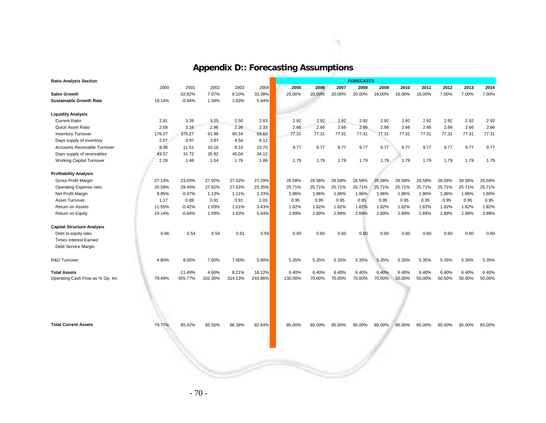# **Appendix D:: Forecasting Assumptions**

÷.

| <b>Ratio Analysis Section</b>     |        |            |         |         |         |         |        |        | <b>FORECASTS</b> |        |        |        |        |        |        |
|-----------------------------------|--------|------------|---------|---------|---------|---------|--------|--------|------------------|--------|--------|--------|--------|--------|--------|
|                                   | 2000   | 2001       | 2002    | 2003    | 2004    | 2005    | 2006   | 2007   | 2008             | 2009   | 2010   | 2011   | 2012   | 2013   | 2014   |
| <b>Sales Growth</b>               |        | $-32.82%$  | 7.07%   | 8.10%   | 33.38%  | 25.00%  | 20.00% | 20.00% | 20.00%           | 16.00% | 16.00% | 16.00% | 7.00%  | 7.00%  | 7.00%  |
| <b>Sustainable Growth Rate</b>    | 19.14% | $-0.64%$   | 1.59%   | 1.63%   | 5.44%   |         |        |        |                  |        |        |        |        |        |        |
| <b>Liquidity Analysis</b>         |        |            |         |         |         |         |        |        |                  |        |        |        |        |        |        |
| <b>Current Ratio</b>              | 2.81   | 3.39       | 3.25    | 2.50    | 2.63    | 2.92    | 2.92   | 2.92   | 2.92             | 2.92   | 2.92   | 2.92   | 2.92   | 2.92   | 2.92   |
| Quick Asset Ratio                 | 2.58   | 3.16       | 2.96    | 2.26    | 2.33    | 2.66    | 2.66   | 2.66   | 2.66             | 2.66   | 2.66   | 2.66   | 2.66   | 2.66   | 2.66   |
| <b>Inventory Turnover</b>         | 176.27 | 375.27     | 91.98   | 80.34   | 59.60   | 77.31   | 77.31  | 77.31  | 77.31            | 77.31  | 77.31  | 77.31  | 77.31  | 77.31  | 77.31  |
| Days supply of inventory          | 2.07   | 0.97       | 3.97    | 4.54    | 6.12    |         |        |        |                  |        |        |        |        |        |        |
| Accounts Receivable Turnover      | 8.38   | 11.51      | 10.16   | 8.10    | 10.70   | 9.77    | 9.77   | 9.77   | 9.77             | 9.77   | 9.77   | 9.77   | 9.77   | 9.77   | 9.77   |
| Days supply of receivables        | 43.57  | 31.72      | 35.92   | 45.04   | 34.12   |         |        |        |                  |        |        |        |        |        |        |
| <b>Working Capital Turnover</b>   | 2.28   | 1.48       | 1.54    | 1.76    | 1.89    | 1.79    | 1.79   | 1.79   | 1.79             | 1.79   | 1.79   | 1.79   | 1.79   | 1.79   | 1.79   |
| <b>Profitability Analysis</b>     |        |            |         |         |         |         |        |        |                  |        |        |        |        |        |        |
| Gross Profit Margin               | 27.13% | 23.03%     | 27.92%  | 27.52%  | 27.29%  | 26.58%  | 26.58% | 26.58% | 26.58%           | 26.58% | 26.58% | 26.58% | 26.58% | 26.58% | 26.58% |
| Operating Expense ratio           | 20.59% | 29.44%     | 27.62%  | 27.53%  | 23.35%  | 25.71%  | 25.71% | 25.71% | 25.71%           | 25.71% | 25.71% | 25.71% | 25.71% | 25.71% | 25.71% |
| Net Profit Margin                 | 9.85%  | $-0.47%$   | 1.13%   | 1.11%   | 3.33%   | 1.86%   | 1.86%  | 1.86%  | 1.86%            | 1.86%  | 1.86%  | 1.86%  | 1.86%  | 1.86%  | 1.86%  |
| Asset Turnover                    | 1.17   | 0.89       | 0.91    | 0.91    | 1.03    | 0.95    | 0.95   | 0.95   | 0.95             | 0.95   | 0.95   | 0.95   | 0.95   | 0.95   | 0.95   |
| Return on Assets                  | 11.55% | $-0.42%$   | 1.03%   | 1.01%   | 3.43%   | 1.82%   | 1.82%  | 1.82%  | 1.82%            | 1.82%  | 1.82%  | 1.82%  | 1.82%  | 1.82%  | 1.82%  |
| Return on Equity                  | 19.14% | $-0.64%$   | 1.59%   | 1.63%   | 5.44%   | 2.89%   | 2.89%  | 2.89%  | 2.89%            | 2.89%  | 2.89%  | 2.89%  | 2.89%  | 2.89%  | 2.89%  |
| <b>Capital Structure Analysis</b> |        |            |         |         |         |         |        |        |                  |        |        |        |        |        |        |
| Debt to equity ratio              | 0.66   | 0.54       | 0.54    | 0.61    | 0.59    | 0.60    | 0.60   | 0.60   | 0.60             | 0.60   | 0.60   | 0.60   | 0.60   | 0.60   | 0.60   |
| <b>Times Interest Earned</b>      |        |            |         |         |         |         |        |        |                  |        |        |        |        |        |        |
| Debt Service Margin               |        |            |         |         |         |         |        |        |                  |        |        |        |        |        |        |
|                                   |        |            |         |         |         |         |        |        |                  |        |        |        |        |        |        |
| R&D Turnover                      | 4.80%  | 8.00%      | 7.80%   | 7.60%   | 5.90%   | 5.35%   | 5.35%  | 5.35%  | 5.35%            | 5.35%  | 5.35%  | 5.35%  | 5.35%  | 5.35%  | 5.35%  |
| <b>Total Assets</b>               |        | $-11.49%$  | 4.60%   | 8.21%   | 18.12%  | 6.40%   | 6.40%  | 6.40%  | 6.40%            | 6.40%  | 6.40%  | 6.40%  | 6.40%  | 6.40%  | 6.40%  |
| Operating Cash Flow as % Op. Inc  | 79.49% | $-355.77%$ | 102.30% | 314.13% | 243.86% | 130.00% | 70.00% | 70.00% | 70.00%           | 70.00% | 50.00% | 50.00% | 50.00% | 50.00% | 50.00% |
|                                   |        |            |         |         |         |         |        |        |                  |        |        |        |        |        |        |
| <b>Total Current Assets</b>       | 79.77% | 85.42%     | 85.55%  | 86.38%  | 82.64%  | 85.00%  | 85.00% | 85.00% | 85.00%           | 85.00% | 85.00% | 85.00% | 85.00% | 85.00% | 85.00% |
|                                   |        |            |         |         |         |         |        |        |                  |        |        |        |        |        |        |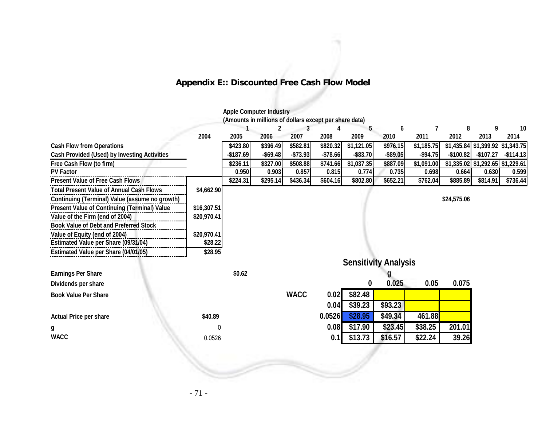# **Appendix E:: Discounted Free Cash Flow Model**

#### **Apple Computer Industry**

**(Amounts in millions of dollars except per share data)**

|                                                     |             |            | $\mathbf{2}$ |             | 4         | 5           | 6                           |            | 8           | 9                                | 10         |
|-----------------------------------------------------|-------------|------------|--------------|-------------|-----------|-------------|-----------------------------|------------|-------------|----------------------------------|------------|
|                                                     | 2004        | 2005       | 2006         | 2007        | 2008      | 2009        | 2010                        | 2011       | 2012        | 2013                             | 2014       |
| <b>Cash Flow from Operations</b>                    |             | \$423.80   | \$396.49     | \$582.81    | \$820.32  | \$1,121.05  | \$976.15                    | \$1,185.75 |             | \$1,435.84 \$1,399.92            | \$1,343.75 |
| <b>Cash Provided (Used) by Investing Activities</b> |             | $-$187.69$ | $-$ \$69.48  | $-$73.93$   | $-$78.66$ | $-$ \$83.70 | $-$ \$89.05                 | $-$94.75$  | $-$100.82$  | -\$107.27                        | $-$114.13$ |
| Free Cash Flow (to firm)                            |             | \$236.11   | \$327.00     | \$508.88    | \$741.66  | \$1,037.35  | \$887.09                    | \$1,091.00 |             | \$1,335.02 \$1,292.65 \$1,229.61 |            |
| <b>PV Factor</b>                                    |             | 0.950      | 0.903        | 0.857       | 0.815     | 0.774       | 0.735                       | 0.698      | 0.664       | 0.630                            | 0.599      |
| <b>Present Value of Free Cash Flows</b>             |             | \$224.31   | \$295.14     | \$436.34    | \$604.16  | \$802.80    | \$652.21                    | \$762.04   | \$885.89    | \$814.91                         | \$736.44   |
| <b>Total Present Value of Annual Cash Flows</b>     | \$4,662.90  |            |              |             |           |             |                             |            |             |                                  |            |
| Continuing (Terminal) Value (assume no growth)      |             |            |              |             |           |             |                             |            | \$24,575.06 |                                  |            |
| <b>Present Value of Continuing (Terminal) Value</b> | \$16,307.51 |            |              |             |           |             |                             |            |             |                                  |            |
| Value of the Firm (end of 2004)                     | \$20,970.41 |            |              |             |           |             |                             |            |             |                                  |            |
| <b>Book Value of Debt and Preferred Stock</b>       |             |            |              |             |           |             |                             |            |             |                                  |            |
| Value of Equity (end of 2004)                       | \$20,970.41 |            |              |             |           |             |                             |            |             |                                  |            |
| Estimated Value per Share (09/31/04)                | \$28.22     |            |              |             |           |             |                             |            |             |                                  |            |
| Estimated Value per Share (04/01/05)                | \$28.95     |            |              |             |           |             |                             |            |             |                                  |            |
|                                                     |             |            |              |             |           |             | <b>Sensitivity Analysis</b> |            |             |                                  |            |
| <b>Earnings Per Share</b>                           |             | \$0.62     |              |             |           |             |                             |            |             |                                  |            |
| Dividends per share                                 |             |            |              |             |           | 0           | 0.025                       | 0.05       | 0.075       |                                  |            |
| <b>Book Value Per Share</b>                         |             |            |              | <b>WACC</b> | 0.02      | \$82.48     |                             |            |             |                                  |            |
|                                                     |             |            |              |             | 0.04      | \$39.23     | \$93.23                     |            |             |                                  |            |
| <b>Actual Price per share</b>                       | \$40.89     |            |              |             | 0.0526    | \$28.95     | \$49.34                     | 461.88     |             |                                  |            |
| g                                                   | 0           |            |              |             | 0.08      | \$17.90     | \$23.45                     | \$38.25    | 201.01      |                                  |            |
| <b>WACC</b>                                         | 0.0526      |            |              |             | 0.1       | \$13.73     | \$16.57                     | \$22.24    | 39.26       |                                  |            |
|                                                     |             |            |              |             |           |             |                             |            |             |                                  |            |
|                                                     |             |            |              |             |           |             |                             |            |             |                                  |            |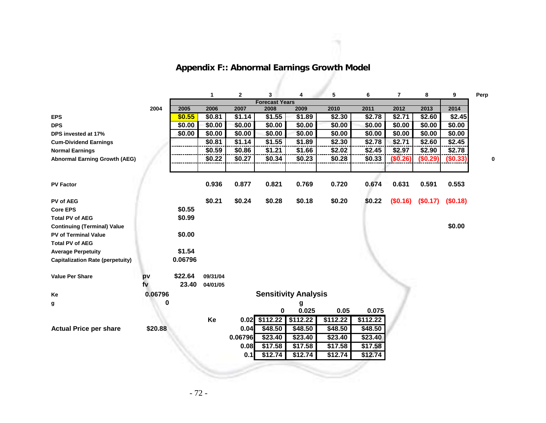|                                         |         |         | 1        | $\mathbf{2}$ | 3                     | 4                           | 5             | 6        | $\overline{7}$ | 8        | 9        | Perp |
|-----------------------------------------|---------|---------|----------|--------------|-----------------------|-----------------------------|---------------|----------|----------------|----------|----------|------|
|                                         |         |         |          |              | <b>Forecast Years</b> |                             |               |          |                |          |          |      |
|                                         | 2004    | 2005    | 2006     | 2007         | 2008                  | 2009                        | 2010          | 2011     | 2012           | 2013     | 2014     |      |
| <b>EPS</b>                              |         | \$0.55  | \$0.81   | \$1.14       | \$1.55                | \$1.89                      | $\sqrt{2.30}$ | \$2.78   | \$2.71         | \$2.60   | \$2.45   |      |
| <b>DPS</b>                              |         | \$0.00  | \$0.00   | \$0.00       | \$0.00                | \$0.00                      | \$0.00        | \$0.00   | \$0.00         | \$0.00   | \$0.00   |      |
| DPS invested at 17%                     |         | \$0.00  | \$0.00   | \$0.00       | \$0.00                | \$0.00                      | \$0.00        | \$0.00   | \$0.00         | \$0.00   | \$0.00   |      |
| <b>Cum-Dividend Earnings</b>            |         |         | \$0.81   | \$1.14       | \$1.55                | \$1.89                      | \$2.30        | \$2.78   | \$2.71         | \$2.60   | \$2.45   |      |
| <b>Normal Earnings</b>                  |         |         | \$0.59   | \$0.86       | \$1.21                | \$1.66                      | \$2.02        | \$2.45   | \$2.97         | \$2.90   | \$2.78   |      |
| <b>Abnormal Earning Growth (AEG)</b>    |         |         | \$0.22   | \$0.27       | \$0.34                | \$0.23                      | \$0.28        | \$0.33   | (\$0.26)       | (\$0.29) | (\$0.33) |      |
|                                         |         |         |          |              |                       |                             |               |          |                |          |          |      |
|                                         |         |         |          |              |                       |                             |               |          |                |          |          |      |
| <b>PV Factor</b>                        |         |         | 0.936    | 0.877        | 0.821                 | 0.769                       | 0.720         | 0.674    | 0.631          | 0.591    | 0.553    |      |
|                                         |         |         |          |              |                       |                             |               |          |                |          |          |      |
| PV of AEG                               |         |         | \$0.21   | \$0.24       | \$0.28                | \$0.18                      | \$0.20        | \$0.22   | (\$0.16)       | (\$0.17) | (\$0.18) |      |
| <b>Core EPS</b>                         |         | \$0.55  |          |              |                       |                             |               |          |                |          |          |      |
| <b>Total PV of AEG</b>                  |         | \$0.99  |          |              |                       |                             |               |          |                |          |          |      |
| <b>Continuing (Terminal) Value</b>      |         |         |          |              |                       |                             |               |          |                |          | \$0.00   |      |
| <b>PV of Terminal Value</b>             |         | \$0.00  |          |              |                       |                             |               |          |                |          |          |      |
| <b>Total PV of AEG</b>                  |         |         |          |              |                       |                             |               |          |                |          |          |      |
| <b>Average Perpetuity</b>               |         | \$1.54  |          |              |                       |                             |               |          |                |          |          |      |
| <b>Capitalization Rate (perpetuity)</b> |         | 0.06796 |          |              |                       |                             |               |          |                |          |          |      |
|                                         |         |         |          |              |                       |                             |               |          |                |          |          |      |
| <b>Value Per Share</b>                  | pv      | \$22.64 | 09/31/04 |              |                       |                             |               |          |                |          |          |      |
|                                         | fv      | 23.40   | 04/01/05 |              |                       |                             |               |          |                |          |          |      |
| Ke                                      | 0.06796 |         |          |              |                       | <b>Sensitivity Analysis</b> |               |          |                |          |          |      |
|                                         | 0       |         |          |              |                       |                             |               |          |                |          |          |      |
| g                                       |         |         |          |              | 0                     | g<br>0.025                  | 0.05          | 0.075    |                |          |          |      |
|                                         |         |         | Ke       |              | $0.02$ \$112.22       | \$112.22                    | \$112.22      | \$112.22 |                |          |          |      |
|                                         | \$20.88 |         |          | 0.04         | \$48.50               | \$48.50                     | \$48.50       | \$48.50  |                |          |          |      |
| <b>Actual Price per share</b>           |         |         |          |              |                       |                             |               |          |                |          |          |      |
|                                         |         |         |          | 0.06796      | \$23.40               | \$23.40                     | \$23.40       | \$23.40  |                |          |          |      |
|                                         |         |         |          | 0.08         | \$17.58               | \$17.58                     | \$17.58       | \$17.58  |                |          |          |      |
|                                         |         |         |          | 0.1          | \$12.74               | \$12.74                     | \$12.74       | \$12.74  |                |          |          |      |

# **Appendix F:: Abnormal Earnings Growth Model**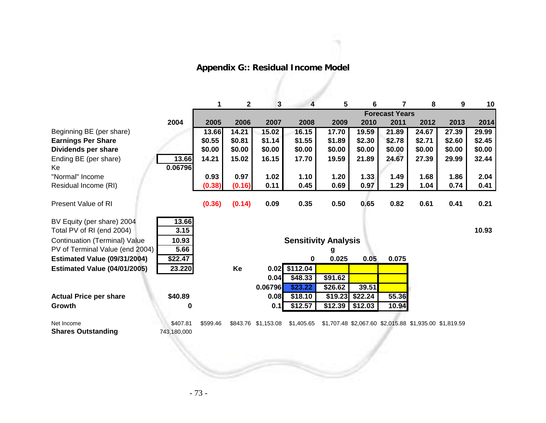| <b>Appendix G:: Residual Income Model</b> |  |
|-------------------------------------------|--|
|                                           |  |

ñ

|                                         |                         | 1                     | $\mathbf 2$ | $\mathbf{3}$        | 4                           | 5       | 6       | 7      | 8                                                      | 9      | 10     |
|-----------------------------------------|-------------------------|-----------------------|-------------|---------------------|-----------------------------|---------|---------|--------|--------------------------------------------------------|--------|--------|
|                                         |                         | <b>Forecast Years</b> |             |                     |                             |         |         |        |                                                        |        |        |
|                                         | 2004                    | 2005                  | 2006        | 2007                | 2008                        | 2009    | 2010    | 2011   | 2012                                                   | 2013   | 2014   |
| Beginning BE (per share)                |                         | 13.66                 | 14.21       | 15.02               | 16.15                       | 17.70   | 19.59   | 21.89  | 24.67                                                  | 27.39  | 29.99  |
| <b>Earnings Per Share</b>               |                         | \$0.55                | \$0.81      | \$1.14              | \$1.55                      | \$1.89  | \$2.30  | \$2.78 | \$2.71                                                 | \$2.60 | \$2.45 |
| Dividends per share                     |                         | \$0.00                | \$0.00      | \$0.00              | \$0.00                      | \$0.00  | \$0.00  | \$0.00 | \$0.00                                                 | \$0.00 | \$0.00 |
| Ending BE (per share)                   | 13.66                   | 14.21                 | 15.02       | 16.15               | 17.70                       | 19.59   | 21.89   | 24.67  | 27.39                                                  | 29.99  | 32.44  |
| Ke                                      | 0.06796                 |                       |             |                     |                             |         |         |        |                                                        |        |        |
| "Normal" Income                         |                         | 0.93                  | 0.97        | 1.02                | 1.10                        | 1.20    | 1.33    | 1.49   | 1.68                                                   | 1.86   | 2.04   |
| Residual Income (RI)                    |                         | (0.38)                | (0.16)      | 0.11                | 0.45                        | 0.69    | 0.97    | 1.29   | 1.04                                                   | 0.74   | 0.41   |
| <b>Present Value of RI</b>              |                         | (0.36)                | (0.14)      | 0.09                | 0.35                        | 0.50    | 0.65    | 0.82   | 0.61                                                   | 0.41   | 0.21   |
| BV Equity (per share) 2004              | 13.66                   |                       |             |                     |                             |         |         |        |                                                        |        |        |
| Total PV of RI (end 2004)               | 3.15                    |                       |             |                     |                             |         |         |        |                                                        |        | 10.93  |
| <b>Continuation (Terminal) Value</b>    | 10.93                   |                       |             |                     | <b>Sensitivity Analysis</b> |         |         |        |                                                        |        |        |
| PV of Terminal Value (end 2004)         | 5.66                    |                       |             |                     |                             | g       |         |        |                                                        |        |        |
| Estimated Value (09/31/2004)            | \$22.47                 |                       |             |                     | 0                           | 0.025   | 0.05    | 0.075  |                                                        |        |        |
| <b>Estimated Value (04/01/2005)</b>     | 23.220                  |                       | Ke          |                     | $0.02$ \$112.04             |         |         |        |                                                        |        |        |
|                                         |                         |                       |             | 0.04                | \$48.33                     | \$91.62 |         |        |                                                        |        |        |
|                                         |                         |                       |             | 0.06796             | \$23.22                     | \$26.62 | 39.51   |        |                                                        |        |        |
| <b>Actual Price per share</b>           | \$40.89                 |                       |             | 0.08                | \$18.10                     | \$19.23 | \$22.24 | 55.36  |                                                        |        |        |
| Growth                                  | $\bf{0}$                |                       |             | 0.1                 | \$12.57                     | \$12.39 | \$12.03 | 10.94  |                                                        |        |        |
|                                         |                         |                       |             |                     |                             |         |         |        |                                                        |        |        |
| Net Income<br><b>Shares Outstanding</b> | \$407.81<br>743,180,000 | \$599.46              |             | \$843.76 \$1,153.08 | \$1,405.65                  |         |         |        | \$1,707.48 \$2,067.60 \$2,015.88 \$1,935.00 \$1,819.59 |        |        |
|                                         |                         |                       |             |                     |                             |         |         |        |                                                        |        |        |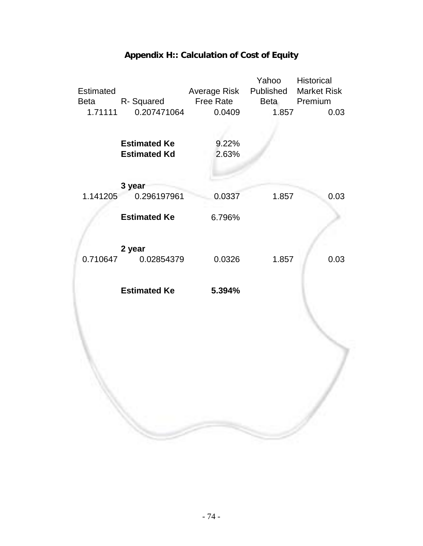

## **Appendix H:: Calculation of Cost of Equity**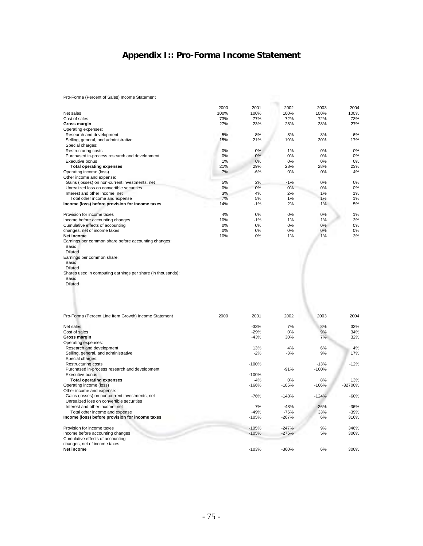## **Appendix I:: Pro-Forma Income Statement**

Pro-Forma (Percent of Sales) Income Statement

|                                                             | 2000 | 2001    | 2002    | 2003    | 2004    |
|-------------------------------------------------------------|------|---------|---------|---------|---------|
| Net sales                                                   | 100% | 100%    | 100%    | 100%    | 100%    |
| Cost of sales                                               | 73%  | 77%     | 72%     | 72%     | 73%     |
| Gross margin                                                | 27%  | 23%     | 28%     | 28%     | 27%     |
| Operating expenses:                                         |      |         |         |         |         |
| Research and development                                    | 5%   | 8%      | 8%      | 8%      | 6%      |
| Selling, general, and administrative                        | 15%  | 21%     | 19%     | 20%     | 17%     |
| Special charges:                                            |      |         |         |         |         |
| Restructuring costs                                         | 0%   | 0%      | 1%      | 0%      | 0%      |
| Purchased in-process research and development               | 0%   | 0%      | 0%      | 0%      | 0%      |
| Executive bonus                                             | 1%   | 0%      | 0%      | 0%      | 0%      |
| <b>Total operating expenses</b>                             | 21%  | 29%     | 28%     | 28%     | 23%     |
| Operating income (loss)                                     | 7%   | $-6%$   | 0%      | 0%      | 4%      |
| Other income and expense:                                   |      |         |         |         |         |
| Gains (losses) on non-current investments, net              | 5%   | 2%      | $-1%$   | 0%      | 0%      |
| Unrealized loss on convertible securities                   | 0%   | 0%      | 0%      | 0%      | 0%      |
| Interest and other income, net                              | 3%   | 4%      | 2%      | 1%      | 1%      |
| Total other income and expense                              | 7%   | 5%      | 1%      | 1%      | 1%      |
| Income (loss) before provision for income taxes             | 14%  | $-1%$   | 2%      | 1%      | 5%      |
|                                                             |      |         |         |         |         |
| Provision for income taxes                                  | 4%   | 0%      | 0%      | 0%      | 1%      |
| Income before accounting changes                            | 10%  | $-1%$   | 1%      | 1%      | 3%      |
| Cumulative effects of accounting                            | 0%   | 0%      | 0%      | 0%      | 0%      |
| changes, net of income taxes                                | 0%   | 0%      | 0%      | 0%      | 0%      |
| <b>Net income</b>                                           | 10%  | 0%      | 1%      | 1%      | 3%      |
| Earnings per common share before accounting changes:        |      |         |         |         |         |
| Basic                                                       |      |         |         |         |         |
| <b>Diluted</b>                                              |      |         |         |         |         |
| Earnings per common share:                                  |      |         |         |         |         |
| <b>Basic</b>                                                |      |         |         |         |         |
| Diluted                                                     |      |         |         |         |         |
| Shares used in computing earnings per share (in thousands): |      |         |         |         |         |
| <b>Basic</b>                                                |      |         |         |         |         |
| <b>Diluted</b>                                              |      |         |         |         |         |
|                                                             |      |         |         |         |         |
|                                                             |      |         |         |         |         |
|                                                             |      |         |         |         |         |
|                                                             |      |         |         |         |         |
|                                                             |      |         |         |         |         |
| Pro-Forma (Percent Line Item Growth) Income Statement       | 2000 | 2001    | 2002    | 2003    | 2004    |
|                                                             |      |         |         |         |         |
| Net sales                                                   |      | $-33%$  | 7%      | 8%      | 33%     |
| Cost of sales                                               |      | $-29%$  | 0%      | 9%      | 34%     |
| <b>Gross margin</b>                                         |      | $-43%$  | 30%     | 7%      | 32%     |
| Operating expenses:                                         |      |         |         |         |         |
| Research and development                                    |      | 13%     | 4%      | 6%      | 4%      |
| Selling, general, and administrative                        |      | $-2%$   | $-3%$   | 9%      | 17%     |
| Special charges:                                            |      |         |         |         |         |
| <b>Restructuring costs</b>                                  |      | $-100%$ |         | $-13%$  | $-12%$  |
| Purchased in-process research and development               |      |         | $-91%$  | $-100%$ |         |
| <b>Executive bonus</b>                                      |      | $-100%$ |         |         |         |
| <b>Total operating expenses</b>                             |      | -4%     | 0%      | 8%      | 13%     |
| Operating income (loss)                                     |      | $-166%$ | $-105%$ | $-106%$ | -32700% |
| Other income and expense:                                   |      |         |         |         |         |
| Gains (losses) on non-current investments, net              |      | $-76%$  | $-148%$ | $-124%$ | $-60%$  |
| Unrealized loss on convertible securities                   |      |         |         |         |         |
| Interest and other income, net                              |      | 7%      | $-48%$  | $-26%$  | $-36%$  |
| Total other income and expense                              |      | $-49%$  | $-76%$  | 33%     | $-39%$  |
| Income (loss) before provision for income taxes             |      | $-105%$ | -267%   | 6%      | 316%    |
|                                                             |      |         |         |         |         |
| Provision for income taxes                                  |      | $-105%$ | $-247%$ | 9%      | 346%    |
| Income before accounting changes                            |      | $-105%$ | $-276%$ | 5%      | 306%    |
| Cumulative effects of accounting                            |      |         |         |         |         |
|                                                             |      |         |         |         |         |
| changes, net of income taxes                                |      |         |         |         |         |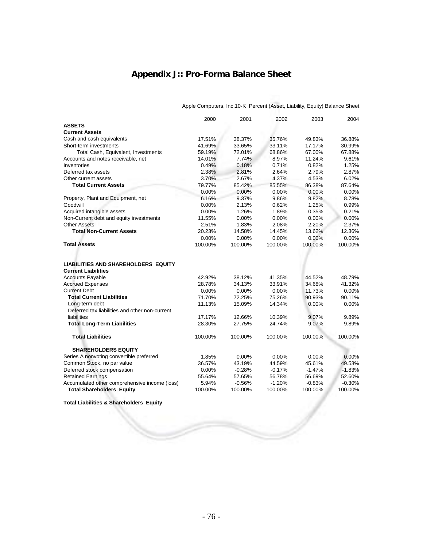## **Appendix J:: Pro-Forma Balance Sheet**

|                                                | 2000     | 2001     | 2002     | 2003     | 2004     |
|------------------------------------------------|----------|----------|----------|----------|----------|
| <b>ASSETS</b>                                  |          |          |          |          |          |
| <b>Current Assets</b>                          |          |          |          |          |          |
| Cash and cash equivalents                      | 17.51%   | 38.37%   | 35.76%   | 49.83%   | 36.88%   |
| Short-term investments                         | 41.69%   | 33.65%   | 33.11%   | 17.17%   | 30.99%   |
| Total Cash, Equivalent, Investments            | 59.19%   | 72.01%   | 68.86%   | 67.00%   | 67.88%   |
| Accounts and notes receivable, net             | 14.01%   | 7.74%    | 8.97%    | 11.24%   | 9.61%    |
| Inventories                                    | 0.49%    | 0.18%    | 0.71%    | 0.82%    | 1.25%    |
| Deferred tax assets                            | 2.38%    | 2.81%    | 2.64%    | 2.79%    | 2.87%    |
| Other current assets                           | 3.70%    | 2.67%    | 4.37%    | 4.53%    | 6.02%    |
| <b>Total Current Assets</b>                    | 79.77%   | 85.42%   | 85.55%   | 86.38%   | 87.64%   |
|                                                | 0.00%    | 0.00%    | 0.00%    | 0.00%    | 0.00%    |
| Property, Plant and Equipment, net             | 6.16%    | 9.37%    | 9.86%    | 9.82%    | 8.78%    |
| Goodwill                                       | 0.00%    | 2.13%    | 0.62%    | 1.25%    | 0.99%    |
| Acquired intangible assets                     | 0.00%    | 1.26%    | 1.89%    | 0.35%    | 0.21%    |
| Non-Current debt and equity investments        | 11.55%   | 0.00%    | 0.00%    | 0.00%    | 0.00%    |
| <b>Other Assets</b>                            | 2.51%    | 1.83%    | 2.08%    | 2.20%    | 2.37%    |
| <b>Total Non-Current Assets</b>                | 20.23%   | 14.58%   | 14.45%   | 13.62%   | 12.36%   |
|                                                | $0.00\%$ | $0.00\%$ | $0.00\%$ | 0.00%    | 0.00%    |
| <b>Total Assets</b>                            | 100.00%  | 100.00%  | 100.00%  | 100.00%  | 100.00%  |
|                                                |          |          |          |          |          |
|                                                |          |          |          |          |          |
| <b>LIABILITIES AND SHAREHOLDERS EQUITY</b>     |          |          |          |          |          |
| <b>Current Liabilities</b>                     |          |          |          |          |          |
| <b>Accounts Payable</b>                        | 42.92%   | 38.12%   | 41.35%   | 44.52%   | 48.79%   |
| <b>Accrued Expenses</b>                        | 28.78%   | 34.13%   | 33.91%   | 34.68%   | 41.32%   |
| <b>Current Debt</b>                            | $0.00\%$ | 0.00%    | 0.00%    | 11.73%   | 0.00%    |
| <b>Total Current Liabilities</b>               | 71.70%   | 72.25%   | 75.26%   | 90.93%   | 90.11%   |
| Long-term debt                                 | 11.13%   | 15.09%   | 14.34%   | 0.00%    | 0.00%    |
| Deferred tax liabilities and other non-current |          |          |          |          |          |
| liabilities                                    | 17.17%   | 12.66%   | 10.39%   | 9.07%    | 9.89%    |
| <b>Total Long-Term Liabilities</b>             | 28.30%   | 27.75%   | 24.74%   | 9.07%    | 9.89%    |
|                                                |          |          |          |          |          |
| <b>Total Liabilities</b>                       | 100.00%  | 100.00%  | 100.00%  | 100.00%  | 100.00%  |
|                                                |          |          |          |          |          |
| <b>SHAREHOLDERS EQUITY</b>                     |          |          |          |          |          |
| Series A nonvoting convertible preferred       | 1.85%    | $0.00\%$ | $0.00\%$ | $0.00\%$ | 0.00%    |
| Common Stock, no par value                     | 36.57%   | 43.19%   | 44.59%   | 45.61%   | 49.53%   |
| Deferred stock compensation                    | 0.00%    | $-0.28%$ | $-0.17%$ | $-1.47%$ | $-1.83%$ |
| <b>Retained Earnings</b>                       | 55.64%   | 57.65%   | 56.78%   | 56.69%   | 52.60%   |
| Accumulated other comprehensive income (loss)  | 5.94%    | $-0.56%$ | $-1.20%$ | $-0.83%$ | $-0.30%$ |
| <b>Total Shareholders Equity</b>               | 100.00%  | 100.00%  | 100.00%  | 100.00%  | 100.00%  |

Apple Computers, Inc.10-K Percent (Asset, Liability, Equity) Balance Sheet

**Total Liabilities & Shareholders Equity**